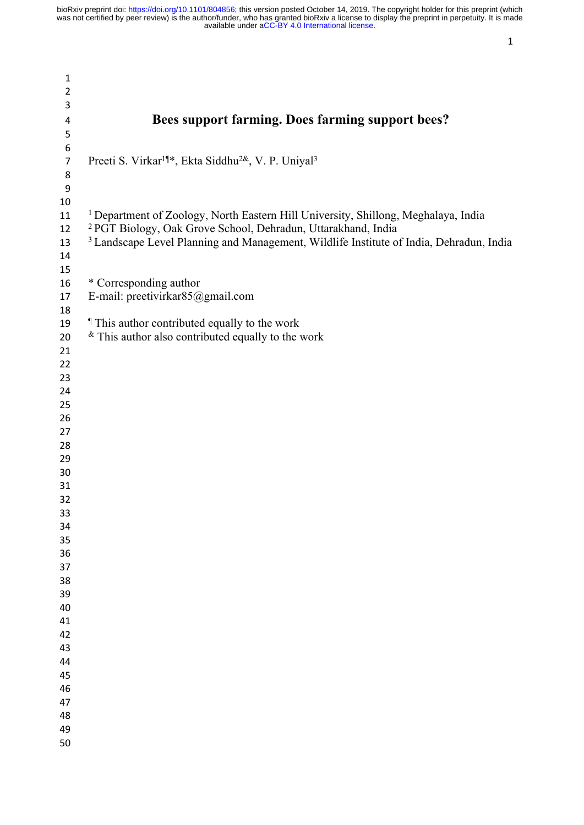| 1                       |                                                                                                    |
|-------------------------|----------------------------------------------------------------------------------------------------|
| $\overline{2}$          |                                                                                                    |
| 3                       |                                                                                                    |
|                         | Bees support farming. Does farming support bees?                                                   |
| $\overline{\mathbf{r}}$ |                                                                                                    |
| 5                       |                                                                                                    |
| 6                       |                                                                                                    |
| $\overline{7}$          | Preeti S. Virkar <sup>1¶*</sup> , Ekta Siddhu <sup>2&amp;</sup> , V. P. Uniyal <sup>3</sup>        |
| 8                       |                                                                                                    |
| $\boldsymbol{9}$        |                                                                                                    |
| 10                      |                                                                                                    |
| 11                      | <sup>1</sup> Department of Zoology, North Eastern Hill University, Shillong, Meghalaya, India      |
| 12                      | <sup>2</sup> PGT Biology, Oak Grove School, Dehradun, Uttarakhand, India                           |
| 13                      | <sup>3</sup> Landscape Level Planning and Management, Wildlife Institute of India, Dehradun, India |
| 14                      |                                                                                                    |
| 15                      |                                                                                                    |
| 16                      | * Corresponding author                                                                             |
| 17                      | E-mail: preetivirkar85@gmail.com                                                                   |
| 18                      |                                                                                                    |
| 19                      | <i>I</i> This author contributed equally to the work                                               |
| 20                      | $*$ This author also contributed equally to the work                                               |
| 21                      |                                                                                                    |
| 22                      |                                                                                                    |
| 23                      |                                                                                                    |
| 24                      |                                                                                                    |
| 25                      |                                                                                                    |
| 26                      |                                                                                                    |
| 27                      |                                                                                                    |
| 28                      |                                                                                                    |
| 29                      |                                                                                                    |
| 30                      |                                                                                                    |
| 31                      |                                                                                                    |
| 32                      |                                                                                                    |
| 33                      |                                                                                                    |
| 34                      |                                                                                                    |
| 35                      |                                                                                                    |
| 36                      |                                                                                                    |
| 37                      |                                                                                                    |
| 38                      |                                                                                                    |
| 39                      |                                                                                                    |
| 40                      |                                                                                                    |
| 41                      |                                                                                                    |
| 42                      |                                                                                                    |
| 43                      |                                                                                                    |
| 44                      |                                                                                                    |
| 45                      |                                                                                                    |
| 46                      |                                                                                                    |
| 47                      |                                                                                                    |
| 48                      |                                                                                                    |
| 49                      |                                                                                                    |
| 50                      |                                                                                                    |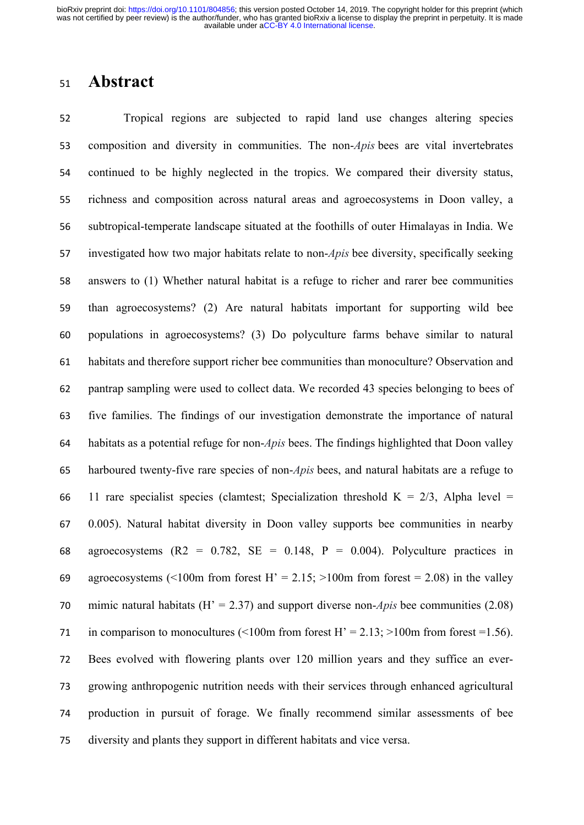### **Abstract**

 Tropical regions are subjected to rapid land use changes altering species composition and diversity in communities. The non-*Apis* bees are vital invertebrates continued to be highly neglected in the tropics. We compared their diversity status, richness and composition across natural areas and agroecosystems in Doon valley, a subtropical-temperate landscape situated at the foothills of outer Himalayas in India. We investigated how two major habitats relate to non-*Apis* bee diversity, specifically seeking answers to (1) Whether natural habitat is a refuge to richer and rarer bee communities than agroecosystems? (2) Are natural habitats important for supporting wild bee populations in agroecosystems? (3) Do polyculture farms behave similar to natural habitats and therefore support richer bee communities than monoculture? Observation and pantrap sampling were used to collect data. We recorded 43 species belonging to bees of five families. The findings of our investigation demonstrate the importance of natural habitats as a potential refuge for non-*Apis* bees. The findings highlighted that Doon valley harboured twenty-five rare species of non-*Apis* bees, and natural habitats are a refuge to 66 11 rare specialist species (clamtest; Specialization threshold  $K = 2/3$ , Alpha level = 0.005). Natural habitat diversity in Doon valley supports bee communities in nearby 68 agroecosystems (R2 =  $0.782$ , SE =  $0.148$ , P =  $0.004$ ). Polyculture practices in 69 agroecosystems (<100m from forest H' = 2.15; >100m from forest = 2.08) in the valley mimic natural habitats (H' = 2.37) and support diverse non-*Apis* bee communities (2.08) 71 in comparison to monocultures  $\leq 100$ m from forest H' = 2.13; >100m from forest =1.56). Bees evolved with flowering plants over 120 million years and they suffice an ever- growing anthropogenic nutrition needs with their services through enhanced agricultural production in pursuit of forage. We finally recommend similar assessments of bee diversity and plants they support in different habitats and vice versa.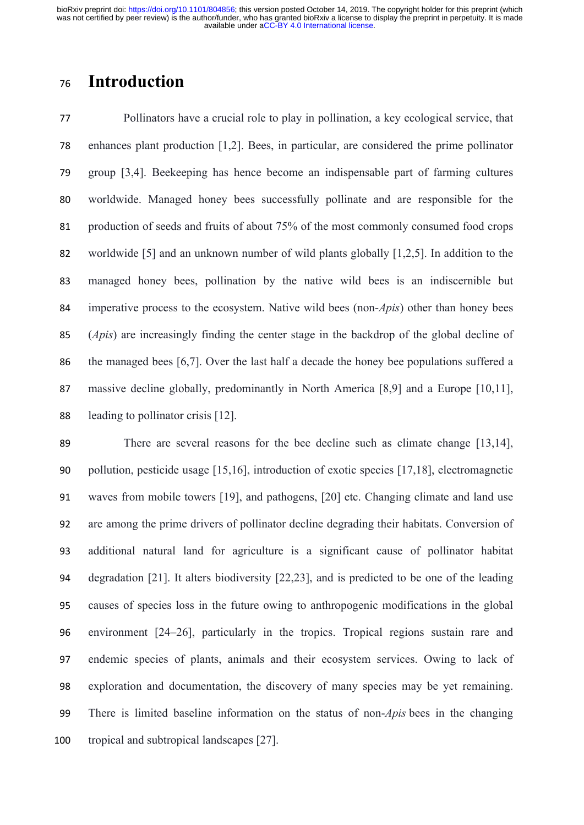# **Introduction**

 Pollinators have a crucial role to play in pollination, a key ecological service, that enhances plant production [1,2]. Bees, in particular, are considered the prime pollinator group [3,4]. Beekeeping has hence become an indispensable part of farming cultures worldwide. Managed honey bees successfully pollinate and are responsible for the production of seeds and fruits of about 75% of the most commonly consumed food crops worldwide [5] and an unknown number of wild plants globally [1,2,5]. In addition to the managed honey bees, pollination by the native wild bees is an indiscernible but imperative process to the ecosystem. Native wild bees (non-*Apis*) other than honey bees (*Apis*) are increasingly finding the center stage in the backdrop of the global decline of the managed bees [6,7]. Over the last half a decade the honey bee populations suffered a 87 massive decline globally, predominantly in North America [8,9] and a Europe [10,11], leading to pollinator crisis [12].

 There are several reasons for the bee decline such as climate change [13,14], pollution, pesticide usage [15,16], introduction of exotic species [17,18], electromagnetic waves from mobile towers [19], and pathogens, [20] etc. Changing climate and land use are among the prime drivers of pollinator decline degrading their habitats. Conversion of additional natural land for agriculture is a significant cause of pollinator habitat degradation [21]. It alters biodiversity [22,23], and is predicted to be one of the leading causes of species loss in the future owing to anthropogenic modifications in the global environment [24–26], particularly in the tropics. Tropical regions sustain rare and endemic species of plants, animals and their ecosystem services. Owing to lack of exploration and documentation, the discovery of many species may be yet remaining. There is limited baseline information on the status of non-*Apis* bees in the changing tropical and subtropical landscapes [27].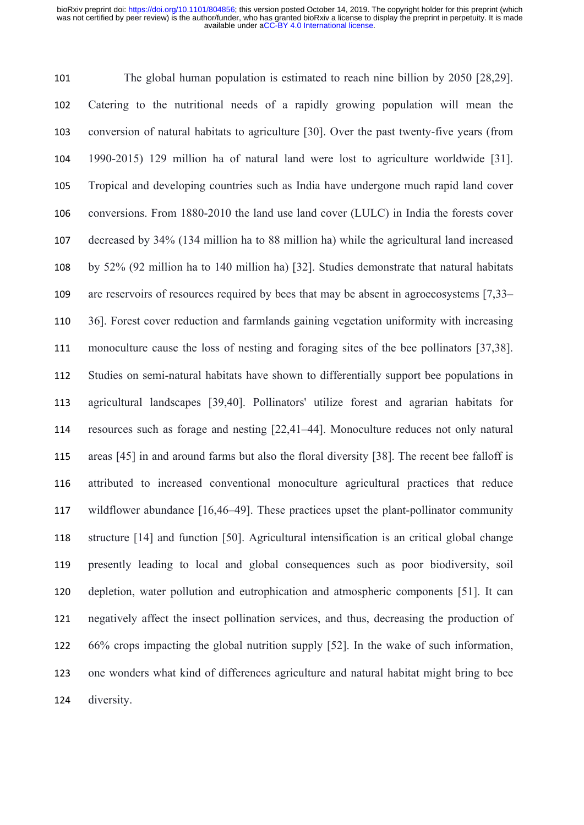The global human population is estimated to reach nine billion by 2050 [28,29]. Catering to the nutritional needs of a rapidly growing population will mean the conversion of natural habitats to agriculture [30]. Over the past twenty-five years (from 1990-2015) 129 million ha of natural land were lost to agriculture worldwide [31]. Tropical and developing countries such as India have undergone much rapid land cover conversions. From 1880-2010 the land use land cover (LULC) in India the forests cover decreased by 34% (134 million ha to 88 million ha) while the agricultural land increased by 52% (92 million ha to 140 million ha) [32]. Studies demonstrate that natural habitats are reservoirs of resources required by bees that may be absent in agroecosystems [7,33– 36]. Forest cover reduction and farmlands gaining vegetation uniformity with increasing monoculture cause the loss of nesting and foraging sites of the bee pollinators [37,38]. Studies on semi-natural habitats have shown to differentially support bee populations in agricultural landscapes [39,40]. Pollinators' utilize forest and agrarian habitats for resources such as forage and nesting [22,41–44]. Monoculture reduces not only natural areas [45] in and around farms but also the floral diversity [38]. The recent bee falloff is attributed to increased conventional monoculture agricultural practices that reduce wildflower abundance [16,46–49]. These practices upset the plant-pollinator community structure [14] and function [50]. Agricultural intensification is an critical global change presently leading to local and global consequences such as poor biodiversity, soil depletion, water pollution and eutrophication and atmospheric components [51]. It can negatively affect the insect pollination services, and thus, decreasing the production of 66% crops impacting the global nutrition supply [52]. In the wake of such information, one wonders what kind of differences agriculture and natural habitat might bring to bee diversity.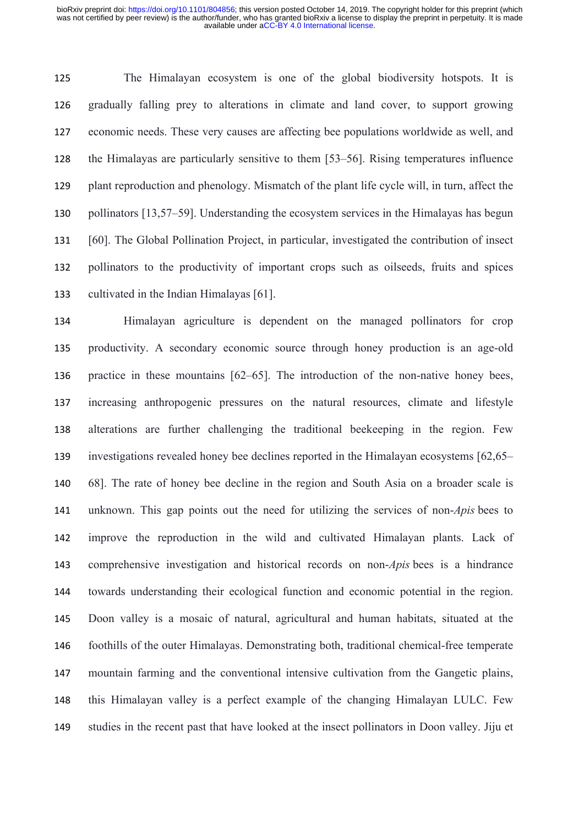The Himalayan ecosystem is one of the global biodiversity hotspots. It is gradually falling prey to alterations in climate and land cover, to support growing economic needs. These very causes are affecting bee populations worldwide as well, and the Himalayas are particularly sensitive to them [53–56]. Rising temperatures influence plant reproduction and phenology. Mismatch of the plant life cycle will, in turn, affect the pollinators [13,57–59]. Understanding the ecosystem services in the Himalayas has begun [60]. The Global Pollination Project, in particular, investigated the contribution of insect pollinators to the productivity of important crops such as oilseeds, fruits and spices cultivated in the Indian Himalayas [61].

 Himalayan agriculture is dependent on the managed pollinators for crop productivity. A secondary economic source through honey production is an age-old practice in these mountains [62–65]. The introduction of the non-native honey bees, increasing anthropogenic pressures on the natural resources, climate and lifestyle alterations are further challenging the traditional beekeeping in the region. Few investigations revealed honey bee declines reported in the Himalayan ecosystems [62,65– 68]. The rate of honey bee decline in the region and South Asia on a broader scale is unknown. This gap points out the need for utilizing the services of non-*Apis* bees to improve the reproduction in the wild and cultivated Himalayan plants. Lack of comprehensive investigation and historical records on non-*Apis* bees is a hindrance towards understanding their ecological function and economic potential in the region. Doon valley is a mosaic of natural, agricultural and human habitats, situated at the foothills of the outer Himalayas. Demonstrating both, traditional chemical-free temperate mountain farming and the conventional intensive cultivation from the Gangetic plains, this Himalayan valley is a perfect example of the changing Himalayan LULC. Few studies in the recent past that have looked at the insect pollinators in Doon valley. Jiju et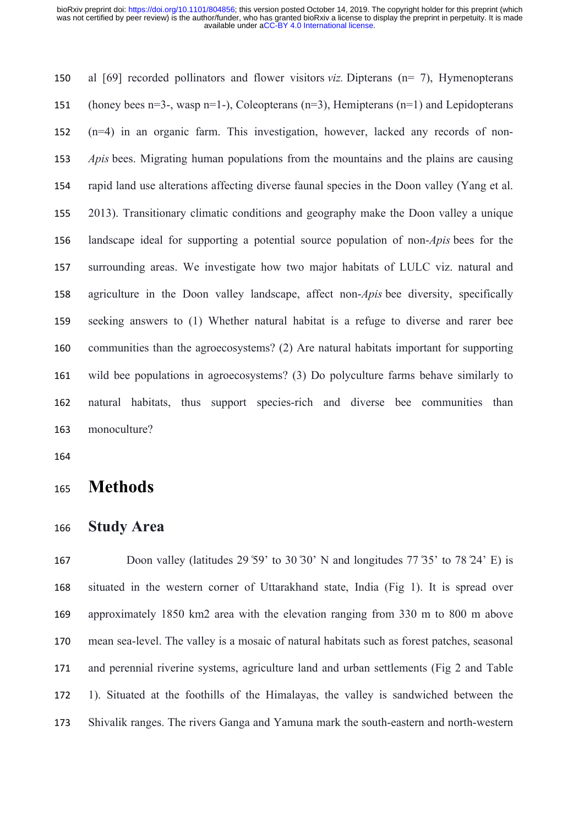al [69] recorded pollinators and flower visitors *viz.* Dipterans (n= 7), Hymenopterans (honey bees n=3-, wasp n=1-), Coleopterans (n=3), Hemipterans (n=1) and Lepidopterans (n=4) in an organic farm. This investigation, however, lacked any records of non- *Apis* bees. Migrating human populations from the mountains and the plains are causing rapid land use alterations affecting diverse faunal species in the Doon valley (Yang et al. 2013). Transitionary climatic conditions and geography make the Doon valley a unique landscape ideal for supporting a potential source population of non-*Apis* bees for the surrounding areas. We investigate how two major habitats of LULC viz. natural and agriculture in the Doon valley landscape, affect non-*Apis* bee diversity, specifically seeking answers to (1) Whether natural habitat is a refuge to diverse and rarer bee communities than the agroecosystems? (2) Are natural habitats important for supporting wild bee populations in agroecosystems? (3) Do polyculture farms behave similarly to natural habitats, thus support species-rich and diverse bee communities than monoculture?

### **Methods**

**Study Area**

167 Doon valley (latitudes 29 ° 59' to 30 ° 30' N and longitudes 77 ° 35' to 78 ° 24' E) is situated in the western corner of Uttarakhand state, India (Fig 1). It is spread over approximately 1850 km2 area with the elevation ranging from 330 m to 800 m above mean sea-level. The valley is a mosaic of natural habitats such as forest patches, seasonal and perennial riverine systems, agriculture land and urban settlements (Fig 2 and Table 1). Situated at the foothills of the Himalayas, the valley is sandwiched between the Shivalik ranges. The rivers Ganga and Yamuna mark the south-eastern and north-western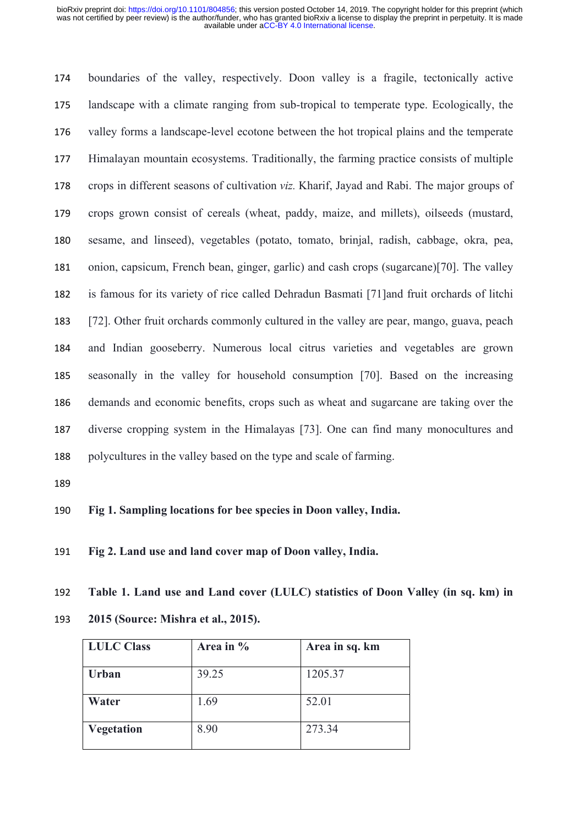boundaries of the valley, respectively. Doon valley is a fragile, tectonically active landscape with a climate ranging from sub-tropical to temperate type. Ecologically, the valley forms a landscape-level ecotone between the hot tropical plains and the temperate Himalayan mountain ecosystems. Traditionally, the farming practice consists of multiple crops in different seasons of cultivation *viz.* Kharif, Jayad and Rabi. The major groups of crops grown consist of cereals (wheat, paddy, maize, and millets), oilseeds (mustard, sesame, and linseed), vegetables (potato, tomato, brinjal, radish, cabbage, okra, pea, onion, capsicum, French bean, ginger, garlic) and cash crops (sugarcane)[70]. The valley is famous for its variety of rice called Dehradun Basmati [71]and fruit orchards of litchi [72]. Other fruit orchards commonly cultured in the valley are pear, mango, guava, peach and Indian gooseberry. Numerous local citrus varieties and vegetables are grown seasonally in the valley for household consumption [70]. Based on the increasing demands and economic benefits, crops such as wheat and sugarcane are taking over the diverse cropping system in the Himalayas [73]. One can find many monocultures and polycultures in the valley based on the type and scale of farming.

**Fig 1. Sampling locations for bee species in Doon valley, India.**

**Fig 2. Land use and land cover map of Doon valley, India.**

 **Table 1. Land use and Land cover (LULC) statistics of Doon Valley (in sq. km) in 2015 (Source: Mishra et al., 2015).**

| <b>LULC Class</b> | Area in $\%$ | Area in sq. km |
|-------------------|--------------|----------------|
| <b>Urban</b>      | 39.25        | 1205.37        |
| Water             | 1.69         | 52.01          |
| <b>Vegetation</b> | 8.90         | 273.34         |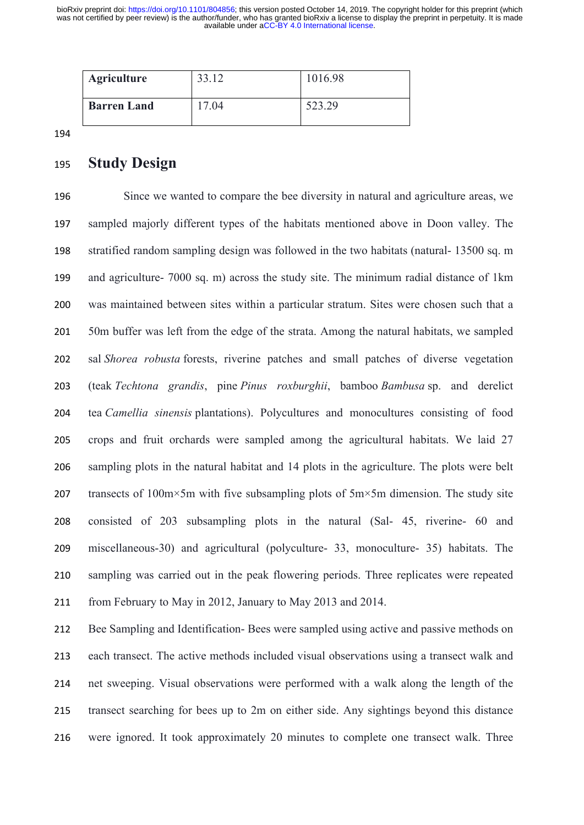| <b>Agriculture</b> | 33 <sup>7</sup><br>33.12 | 1016.98 |
|--------------------|--------------------------|---------|
| <b>Barren Land</b> | 7.04                     | 523.29  |

#### **Study Design**

 Since we wanted to compare the bee diversity in natural and agriculture areas, we sampled majorly different types of the habitats mentioned above in Doon valley. The stratified random sampling design was followed in the two habitats (natural- 13500 sq. m and agriculture- 7000 sq. m) across the study site. The minimum radial distance of 1km was maintained between sites within a particular stratum. Sites were chosen such that a 50m buffer was left from the edge of the strata. Among the natural habitats, we sampled sal *Shorea robusta* forests, riverine patches and small patches of diverse vegetation (teak *Techtona grandis*, pine *Pinus roxburghii*, bamboo *Bambusa* sp. and derelict tea *Camellia sinensis* plantations). Polycultures and monocultures consisting of food crops and fruit orchards were sampled among the agricultural habitats. We laid 27 sampling plots in the natural habitat and 14 plots in the agriculture. The plots were belt 207 transects of  $100 \text{m} \times 5 \text{m}$  with five subsampling plots of  $5 \text{m} \times 5 \text{m}$  dimension. The study site consisted of 203 subsampling plots in the natural (Sal- 45, riverine- 60 and miscellaneous-30) and agricultural (polyculture- 33, monoculture- 35) habitats. The sampling was carried out in the peak flowering periods. Three replicates were repeated from February to May in 2012, January to May 2013 and 2014.

 Bee Sampling and Identification- Bees were sampled using active and passive methods on each transect. The active methods included visual observations using a transect walk and net sweeping. Visual observations were performed with a walk along the length of the transect searching for bees up to 2m on either side. Any sightings beyond this distance were ignored. It took approximately 20 minutes to complete one transect walk. Three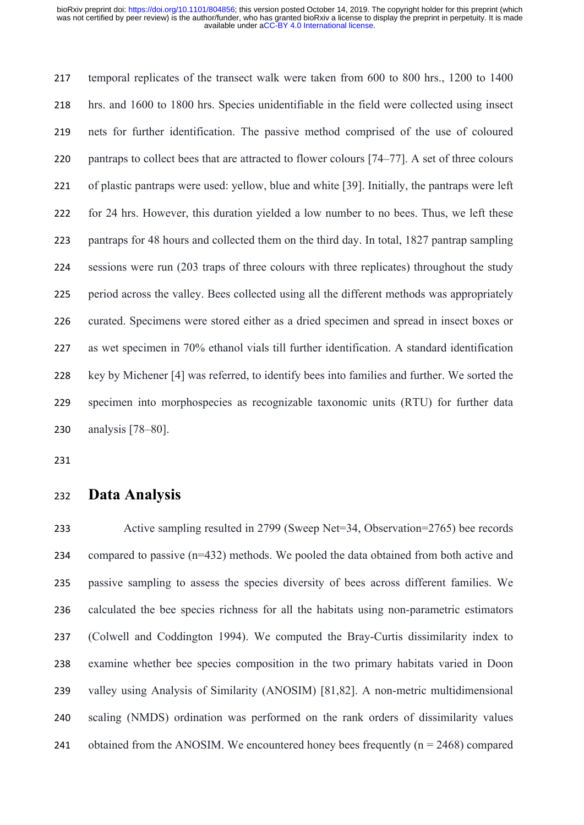temporal replicates of the transect walk were taken from 600 to 800 hrs., 1200 to 1400 hrs. and 1600 to 1800 hrs. Species unidentifiable in the field were collected using insect nets for further identification. The passive method comprised of the use of coloured 220 pantraps to collect bees that are attracted to flower colours [74–77]. A set of three colours of plastic pantraps were used: yellow, blue and white [39]. Initially, the pantraps were left for 24 hrs. However, this duration yielded a low number to no bees. Thus, we left these pantraps for 48 hours and collected them on the third day. In total, 1827 pantrap sampling sessions were run (203 traps of three colours with three replicates) throughout the study period across the valley. Bees collected using all the different methods was appropriately curated. Specimens were stored either as a dried specimen and spread in insect boxes or as wet specimen in 70% ethanol vials till further identification. A standard identification key by Michener [4] was referred, to identify bees into families and further. We sorted the specimen into morphospecies as recognizable taxonomic units (RTU) for further data analysis [78–80].

#### **Data Analysis**

 Active sampling resulted in 2799 (Sweep Net=34, Observation=2765) bee records compared to passive (n=432) methods. We pooled the data obtained from both active and passive sampling to assess the species diversity of bees across different families. We calculated the bee species richness for all the habitats using non-parametric estimators (Colwell and Coddington 1994). We computed the Bray-Curtis dissimilarity index to examine whether bee species composition in the two primary habitats varied in Doon valley using Analysis of Similarity (ANOSIM) [81,82]. A non-metric multidimensional scaling (NMDS) ordination was performed on the rank orders of dissimilarity values 241 obtained from the ANOSIM. We encountered honey bees frequently  $(n = 2468)$  compared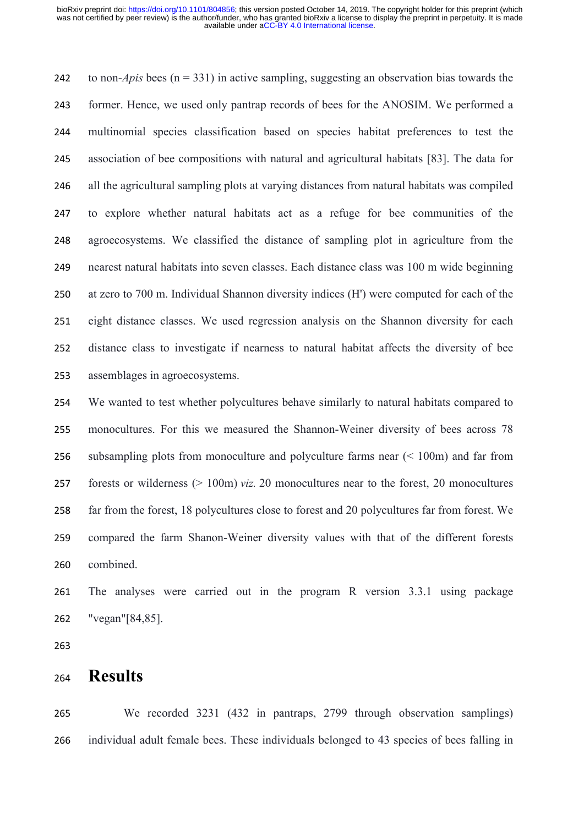to non-*Apis* bees (n = 331) in active sampling, suggesting an observation bias towards the former. Hence, we used only pantrap records of bees for the ANOSIM. We performed a multinomial species classification based on species habitat preferences to test the association of bee compositions with natural and agricultural habitats [83]. The data for all the agricultural sampling plots at varying distances from natural habitats was compiled to explore whether natural habitats act as a refuge for bee communities of the agroecosystems. We classified the distance of sampling plot in agriculture from the nearest natural habitats into seven classes. Each distance class was 100 m wide beginning at zero to 700 m. Individual Shannon diversity indices (H') were computed for each of the eight distance classes. We used regression analysis on the Shannon diversity for each distance class to investigate if nearness to natural habitat affects the diversity of bee assemblages in agroecosystems.

 We wanted to test whether polycultures behave similarly to natural habitats compared to monocultures. For this we measured the Shannon-Weiner diversity of bees across 78 subsampling plots from monoculture and polyculture farms near (< 100m) and far from forests or wilderness (> 100m) *viz.* 20 monocultures near to the forest, 20 monocultures far from the forest, 18 polycultures close to forest and 20 polycultures far from forest. We compared the farm Shanon-Weiner diversity values with that of the different forests combined.

 The analyses were carried out in the program R version 3.3.1 using package "vegan"[84,85].

### **Results**

 We recorded 3231 (432 in pantraps, 2799 through observation samplings) individual adult female bees. These individuals belonged to 43 species of bees falling in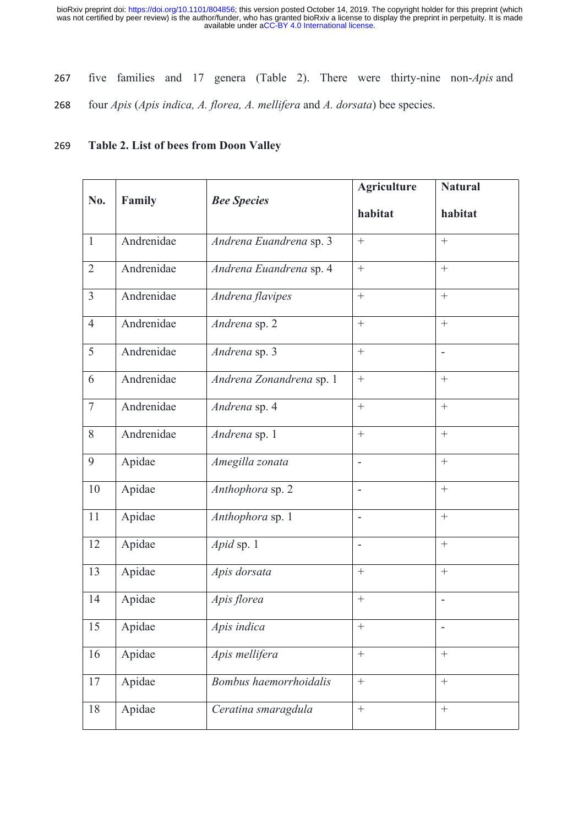- five families and 17 genera (Table 2). There were thirty-nine non-*Apis* and
- four *Apis* (*Apis indica, A. florea, A. mellifera* and *A. dorsata*) bee species.

#### **Table 2. List of bees from Doon Valley**

|                |            |                          | <b>Agriculture</b>       | <b>Natural</b>           |
|----------------|------------|--------------------------|--------------------------|--------------------------|
| No.            | Family     | <b>Bee Species</b>       | habitat                  | habitat                  |
| $\mathbf{1}$   | Andrenidae | Andrena Euandrena sp. 3  | $\boldsymbol{+}$         | $\boldsymbol{+}$         |
| $\overline{2}$ | Andrenidae | Andrena Euandrena sp. 4  | $\boldsymbol{+}$         | $+$                      |
| $\overline{3}$ | Andrenidae | Andrena flavipes         | $+$                      | $+$                      |
| $\overline{4}$ | Andrenidae | Andrena sp. 2            | $\boldsymbol{+}$         | $\boldsymbol{+}$         |
| 5              | Andrenidae | Andrena sp. 3            | $\boldsymbol{+}$         | $\bar{\phantom{a}}$      |
| 6              | Andrenidae | Andrena Zonandrena sp. 1 | $\, +$                   | $+$                      |
| $\overline{7}$ | Andrenidae | Andrena sp. 4            | $\boldsymbol{+}$         | $\boldsymbol{+}$         |
| 8              | Andrenidae | Andrena sp. 1            | $\boldsymbol{+}$         | $\boldsymbol{+}$         |
| 9              | Apidae     | Amegilla zonata          | $\overline{\phantom{a}}$ | $\boldsymbol{+}$         |
| 10             | Apidae     | Anthophora sp. 2         | $\overline{a}$           | $\boldsymbol{+}$         |
| 11             | Apidae     | Anthophora sp. 1         | $\overline{\phantom{a}}$ | $\boldsymbol{+}$         |
| 12             | Apidae     | Apid sp. 1               | $\overline{a}$           | $\boldsymbol{+}$         |
| 13             | Apidae     | Apis dorsata             | $\boldsymbol{+}$         | $\boldsymbol{+}$         |
| 14             | Apidae     | Apis florea              |                          | $\overline{\phantom{a}}$ |
| 15             | Apidae     | Apis indica              | $\boldsymbol{+}$         | $\overline{\phantom{0}}$ |
| 16             | Apidae     | Apis mellifera           | $\boldsymbol{+}$         | $\boldsymbol{+}$         |
| 17             | Apidae     | Bombus haemorrhoidalis   | $\boldsymbol{+}$         | $\boldsymbol{+}$         |
| 18             | Apidae     | Ceratina smaragdula      | $\boldsymbol{+}$         | $\boldsymbol{+}$         |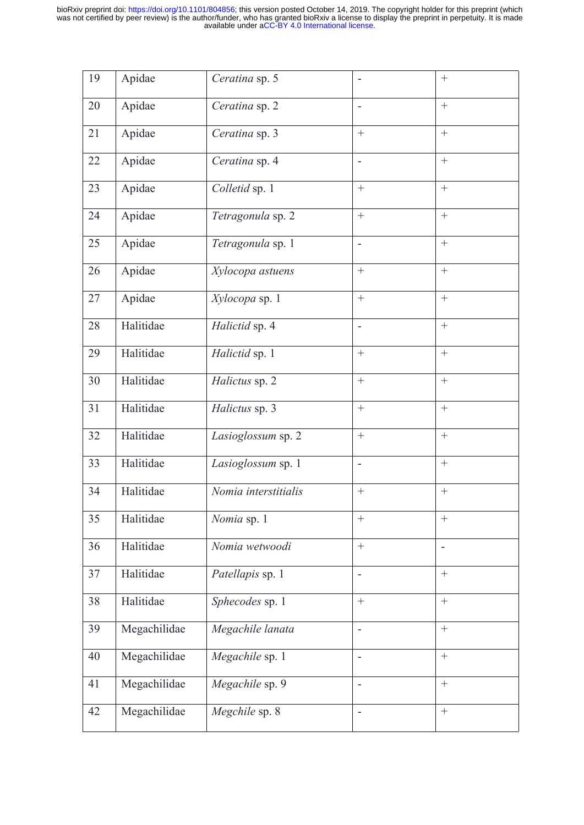| 19 | Apidae       | Ceratina sp. 5       |                          | $\boldsymbol{+}$  |
|----|--------------|----------------------|--------------------------|-------------------|
| 20 | Apidae       | Ceratina sp. 2       | $\overline{\phantom{a}}$ | $\boldsymbol{+}$  |
| 21 | Apidae       | Ceratina sp. 3       | $\boldsymbol{+}$         | $\boldsymbol{+}$  |
| 22 | Apidae       | Ceratina sp. 4       | $\overline{\phantom{a}}$ | $\qquad \qquad +$ |
| 23 | Apidae       | Colletid sp. 1       | $\boldsymbol{+}$         | $\boldsymbol{+}$  |
| 24 | Apidae       | Tetragonula sp. 2    | $\boldsymbol{+}$         | $\boldsymbol{+}$  |
| 25 | Apidae       | Tetragonula sp. 1    | $\overline{\phantom{a}}$ | $\boldsymbol{+}$  |
| 26 | Apidae       | Xylocopa astuens     | $\boldsymbol{+}$         | $\boldsymbol{+}$  |
| 27 | Apidae       | Xylocopa sp. 1       | $\boldsymbol{+}$         | $\boldsymbol{+}$  |
| 28 | Halitidae    | Halictid sp. 4       | $\overline{\phantom{a}}$ | $\boldsymbol{+}$  |
| 29 | Halitidae    | Halictid sp. 1       | $\boldsymbol{+}$         | $\boldsymbol{+}$  |
| 30 | Halitidae    | Halictus sp. 2       | $\boldsymbol{+}$         | $\boldsymbol{+}$  |
| 31 | Halitidae    | Halictus sp. 3       | $\boldsymbol{+}$         | $\boldsymbol{+}$  |
| 32 | Halitidae    | Lasioglossum sp. 2   | $\boldsymbol{+}$         | $\boldsymbol{+}$  |
| 33 | Halitidae    | Lasioglossum sp. 1   | $\frac{1}{2}$            | $\boldsymbol{+}$  |
| 34 | Halitidae    | Nomia interstitialis | $\boldsymbol{+}$         | $\boldsymbol{+}$  |
| 35 | Halitidae    | Nomia sp. 1          | $\boldsymbol{+}$         |                   |
| 36 | Halitidae    | Nomia wetwoodi       | $\boldsymbol{+}$         | $\blacksquare$    |
| 37 | Halitidae    | Patellapis sp. 1     | $\overline{\phantom{a}}$ | $\boldsymbol{+}$  |
| 38 | Halitidae    | Sphecodes sp. 1      | $+$                      | $+$               |
| 39 | Megachilidae | Megachile lanata     | $\overline{a}$           | $\boldsymbol{+}$  |
| 40 | Megachilidae | Megachile sp. 1      | $\blacksquare$           | $+$               |
| 41 | Megachilidae | Megachile sp. 9      | $\overline{\phantom{a}}$ | $+$               |
| 42 | Megachilidae | Megchile sp. 8       | $\overline{\phantom{a}}$ |                   |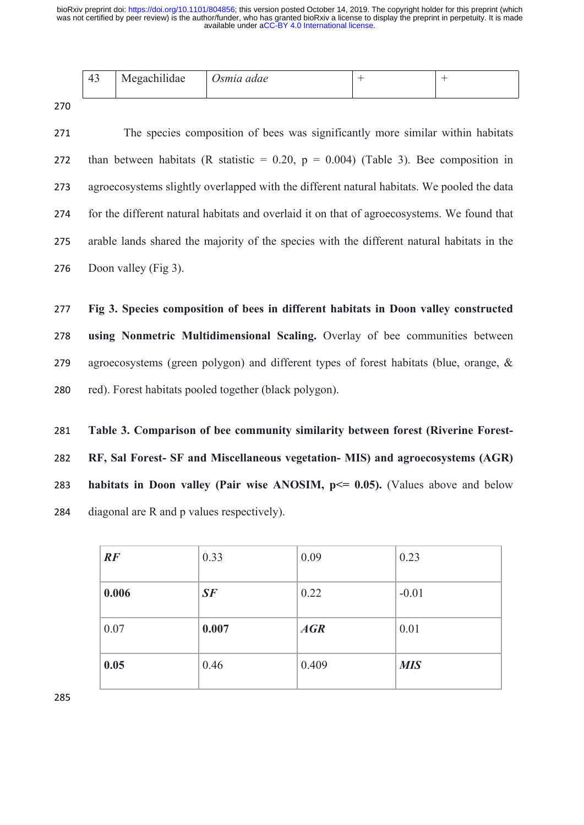| 43 | Megachilidae | Osmia adae |  |
|----|--------------|------------|--|
|    |              |            |  |

 The species composition of bees was significantly more similar within habitats 272 than between habitats (R statistic =  $0.20$ ,  $p = 0.004$ ) (Table 3). Bee composition in agroecosystems slightly overlapped with the different natural habitats. We pooled the data for the different natural habitats and overlaid it on that of agroecosystems. We found that arable lands shared the majority of the species with the different natural habitats in the 276 Doon valley (Fig 3).

 **Fig 3. Species composition of bees in different habitats in Doon valley constructed using Nonmetric Multidimensional Scaling.** Overlay of bee communities between agroecosystems (green polygon) and different types of forest habitats (blue, orange, & red). Forest habitats pooled together (black polygon).

 **Table 3. Comparison of bee community similarity between forest (Riverine Forest- RF, Sal Forest- SF and Miscellaneous vegetation- MIS) and agroecosystems (AGR) habitats in Doon valley (Pair wise ANOSIM, p<= 0.05).** (Values above and below diagonal are R and p values respectively).

| RF    | 0.33  | 0.09  | 0.23       |
|-------|-------|-------|------------|
| 0.006 | SF    | 0.22  | $-0.01$    |
| 0.07  | 0.007 | AGR   | 0.01       |
| 0.05  | 0.46  | 0.409 | <b>MIS</b> |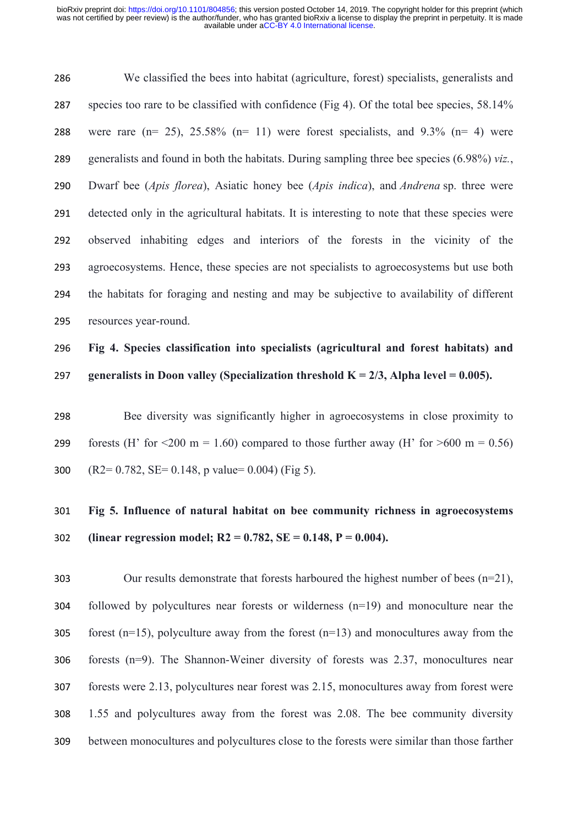We classified the bees into habitat (agriculture, forest) specialists, generalists and species too rare to be classified with confidence (Fig 4). Of the total bee species, 58.14% 288 were rare  $(n= 25)$ ,  $25.58\%$   $(n= 11)$  were forest specialists, and  $9.3\%$   $(n= 4)$  were generalists and found in both the habitats. During sampling three bee species (6.98%) *viz.*, Dwarf bee (*Apis florea*), Asiatic honey bee (*Apis indica*), and *Andrena* sp. three were detected only in the agricultural habitats. It is interesting to note that these species were observed inhabiting edges and interiors of the forests in the vicinity of the agroecosystems. Hence, these species are not specialists to agroecosystems but use both the habitats for foraging and nesting and may be subjective to availability of different resources year-round.

# **Fig 4. Species classification into specialists (agricultural and forest habitats) and generalists in Doon valley (Specialization threshold K = 2/3, Alpha level = 0.005).**

 Bee diversity was significantly higher in agroecosystems in close proximity to 299 forests (H' for  $\leq 200$  m = 1.60) compared to those further away (H' for  $\geq 600$  m = 0.56) 300  $(R2= 0.782, SE = 0.148, p value = 0.004)$  (Fig 5).

# **Fig 5. Influence of natural habitat on bee community richness in agroecosystems (linear regression model; R2 = 0.782, SE = 0.148, P = 0.004).**

 Our results demonstrate that forests harboured the highest number of bees (n=21), followed by polycultures near forests or wilderness (n=19) and monoculture near the 305 forest (n=15), polyculture away from the forest (n=13) and monocultures away from the forests (n=9). The Shannon-Weiner diversity of forests was 2.37, monocultures near forests were 2.13, polycultures near forest was 2.15, monocultures away from forest were 1.55 and polycultures away from the forest was 2.08. The bee community diversity between monocultures and polycultures close to the forests were similar than those farther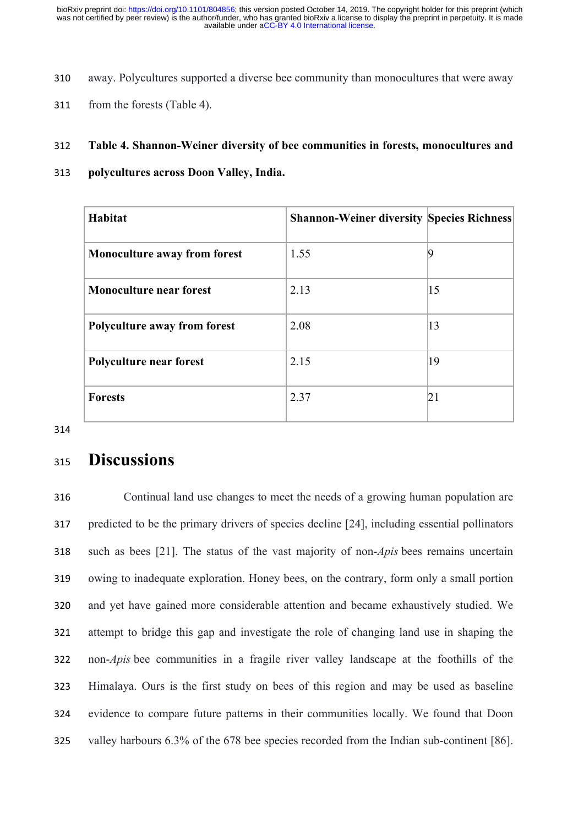- away. Polycultures supported a diverse bee community than monocultures that were away
- from the forests (Table 4).

#### **Table 4. Shannon-Weiner diversity of bee communities in forests, monocultures and**

**polycultures across Doon Valley, India.**

| Habitat                             | <b>Shannon-Weiner diversity Species Richness</b> |              |
|-------------------------------------|--------------------------------------------------|--------------|
| <b>Monoculture away from forest</b> | 1.55                                             |              |
| <b>Monoculture near forest</b>      | 2.13                                             | $ 15\rangle$ |
| Polyculture away from forest        | 2.08                                             | 13           |
| Polyculture near forest             | 2.15                                             | 19           |
| <b>Forests</b>                      | 2.37                                             | 21           |

# **Discussions**

 Continual land use changes to meet the needs of a growing human population are predicted to be the primary drivers of species decline [24], including essential pollinators such as bees [21]. The status of the vast majority of non-*Apis* bees remains uncertain owing to inadequate exploration. Honey bees, on the contrary, form only a small portion and yet have gained more considerable attention and became exhaustively studied. We attempt to bridge this gap and investigate the role of changing land use in shaping the non-*Apis* bee communities in a fragile river valley landscape at the foothills of the Himalaya. Ours is the first study on bees of this region and may be used as baseline evidence to compare future patterns in their communities locally. We found that Doon valley harbours 6.3% of the 678 bee species recorded from the Indian sub-continent [86].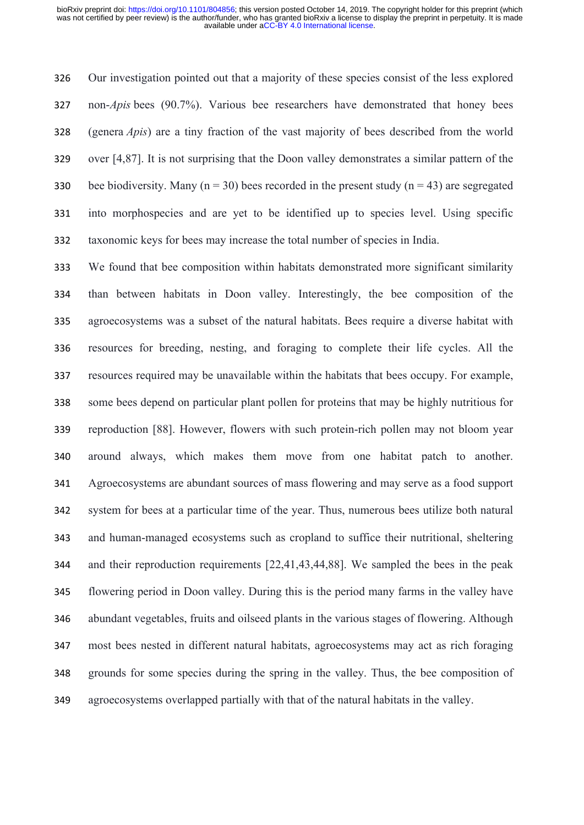Our investigation pointed out that a majority of these species consist of the less explored non-*Apis* bees (90.7%). Various bee researchers have demonstrated that honey bees (genera *Apis*) are a tiny fraction of the vast majority of bees described from the world over [4,87]. It is not surprising that the Doon valley demonstrates a similar pattern of the 330 bee biodiversity. Many ( $n = 30$ ) bees recorded in the present study ( $n = 43$ ) are segregated into morphospecies and are yet to be identified up to species level. Using specific taxonomic keys for bees may increase the total number of species in India.

 We found that bee composition within habitats demonstrated more significant similarity than between habitats in Doon valley. Interestingly, the bee composition of the agroecosystems was a subset of the natural habitats. Bees require a diverse habitat with resources for breeding, nesting, and foraging to complete their life cycles. All the resources required may be unavailable within the habitats that bees occupy. For example, some bees depend on particular plant pollen for proteins that may be highly nutritious for reproduction [88]. However, flowers with such protein-rich pollen may not bloom year around always, which makes them move from one habitat patch to another. Agroecosystems are abundant sources of mass flowering and may serve as a food support system for bees at a particular time of the year. Thus, numerous bees utilize both natural and human-managed ecosystems such as cropland to suffice their nutritional, sheltering and their reproduction requirements [22,41,43,44,88]. We sampled the bees in the peak flowering period in Doon valley. During this is the period many farms in the valley have abundant vegetables, fruits and oilseed plants in the various stages of flowering. Although most bees nested in different natural habitats, agroecosystems may act as rich foraging grounds for some species during the spring in the valley. Thus, the bee composition of agroecosystems overlapped partially with that of the natural habitats in the valley.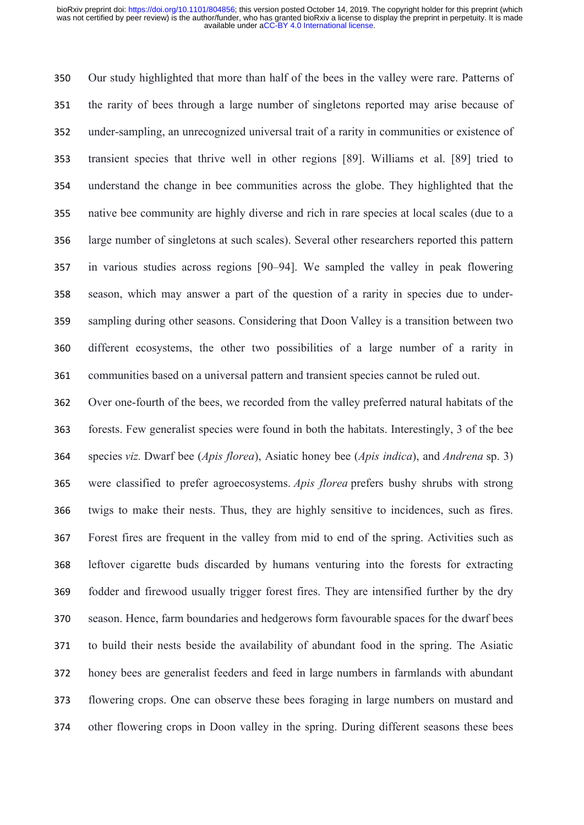Our study highlighted that more than half of the bees in the valley were rare. Patterns of the rarity of bees through a large number of singletons reported may arise because of under-sampling, an unrecognized universal trait of a rarity in communities or existence of transient species that thrive well in other regions [89]. Williams et al. [89] tried to understand the change in bee communities across the globe. They highlighted that the native bee community are highly diverse and rich in rare species at local scales (due to a large number of singletons at such scales). Several other researchers reported this pattern in various studies across regions [90–94]. We sampled the valley in peak flowering season, which may answer a part of the question of a rarity in species due to under- sampling during other seasons. Considering that Doon Valley is a transition between two different ecosystems, the other two possibilities of a large number of a rarity in communities based on a universal pattern and transient species cannot be ruled out.

 Over one-fourth of the bees, we recorded from the valley preferred natural habitats of the forests. Few generalist species were found in both the habitats. Interestingly, 3 of the bee species *viz.* Dwarf bee (*Apis florea*), Asiatic honey bee (*Apis indica*), and *Andrena* sp. 3) were classified to prefer agroecosystems. *Apis florea* prefers bushy shrubs with strong twigs to make their nests. Thus, they are highly sensitive to incidences, such as fires. Forest fires are frequent in the valley from mid to end of the spring. Activities such as leftover cigarette buds discarded by humans venturing into the forests for extracting fodder and firewood usually trigger forest fires. They are intensified further by the dry season. Hence, farm boundaries and hedgerows form favourable spaces for the dwarf bees to build their nests beside the availability of abundant food in the spring. The Asiatic honey bees are generalist feeders and feed in large numbers in farmlands with abundant flowering crops. One can observe these bees foraging in large numbers on mustard and other flowering crops in Doon valley in the spring. During different seasons these bees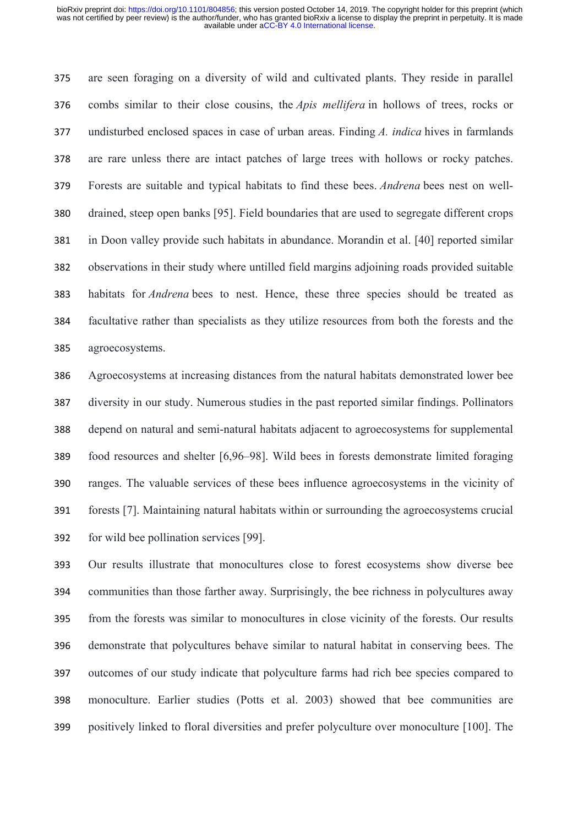are seen foraging on a diversity of wild and cultivated plants. They reside in parallel combs similar to their close cousins, the *Apis mellifera* in hollows of trees, rocks or undisturbed enclosed spaces in case of urban areas. Finding *A. indica* hives in farmlands are rare unless there are intact patches of large trees with hollows or rocky patches. Forests are suitable and typical habitats to find these bees. *Andrena* bees nest on well- drained, steep open banks [95]. Field boundaries that are used to segregate different crops in Doon valley provide such habitats in abundance. Morandin et al. [40] reported similar observations in their study where untilled field margins adjoining roads provided suitable habitats for *Andrena* bees to nest. Hence, these three species should be treated as facultative rather than specialists as they utilize resources from both the forests and the agroecosystems.

 Agroecosystems at increasing distances from the natural habitats demonstrated lower bee diversity in our study. Numerous studies in the past reported similar findings. Pollinators depend on natural and semi-natural habitats adjacent to agroecosystems for supplemental food resources and shelter [6,96–98]. Wild bees in forests demonstrate limited foraging ranges. The valuable services of these bees influence agroecosystems in the vicinity of forests [7]. Maintaining natural habitats within or surrounding the agroecosystems crucial for wild bee pollination services [99].

 Our results illustrate that monocultures close to forest ecosystems show diverse bee communities than those farther away. Surprisingly, the bee richness in polycultures away from the forests was similar to monocultures in close vicinity of the forests. Our results demonstrate that polycultures behave similar to natural habitat in conserving bees. The outcomes of our study indicate that polyculture farms had rich bee species compared to monoculture. Earlier studies (Potts et al. 2003) showed that bee communities are positively linked to floral diversities and prefer polyculture over monoculture [100]. The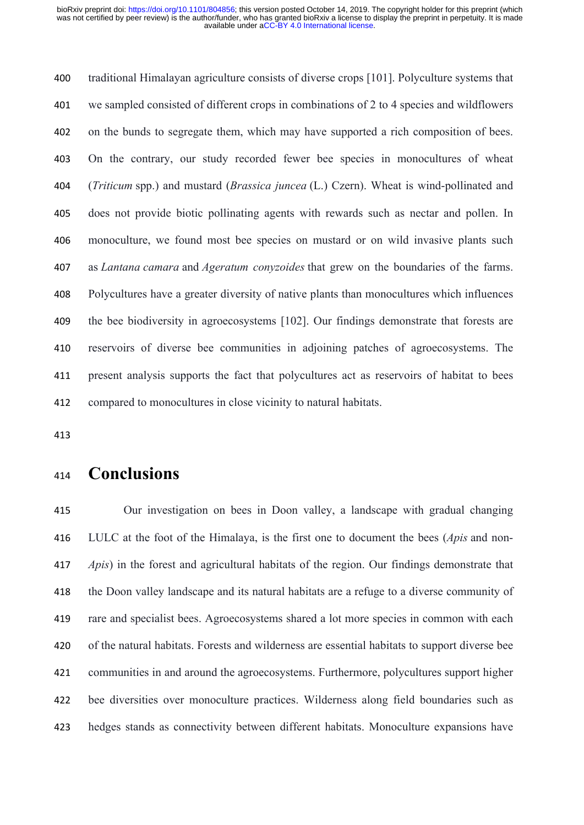traditional Himalayan agriculture consists of diverse crops [101]. Polyculture systems that we sampled consisted of different crops in combinations of 2 to 4 species and wildflowers on the bunds to segregate them, which may have supported a rich composition of bees. On the contrary, our study recorded fewer bee species in monocultures of wheat (*Triticum* spp.) and mustard (*Brassica juncea* (L.) Czern). Wheat is wind-pollinated and does not provide biotic pollinating agents with rewards such as nectar and pollen. In monoculture, we found most bee species on mustard or on wild invasive plants such as *Lantana camara* and *Ageratum conyzoides* that grew on the boundaries of the farms. Polycultures have a greater diversity of native plants than monocultures which influences the bee biodiversity in agroecosystems [102]. Our findings demonstrate that forests are reservoirs of diverse bee communities in adjoining patches of agroecosystems. The present analysis supports the fact that polycultures act as reservoirs of habitat to bees compared to monocultures in close vicinity to natural habitats.

# **Conclusions**

 Our investigation on bees in Doon valley, a landscape with gradual changing LULC at the foot of the Himalaya, is the first one to document the bees (*Apis* and non- *Apis*) in the forest and agricultural habitats of the region. Our findings demonstrate that the Doon valley landscape and its natural habitats are a refuge to a diverse community of rare and specialist bees. Agroecosystems shared a lot more species in common with each of the natural habitats. Forests and wilderness are essential habitats to support diverse bee communities in and around the agroecosystems. Furthermore, polycultures support higher bee diversities over monoculture practices. Wilderness along field boundaries such as hedges stands as connectivity between different habitats. Monoculture expansions have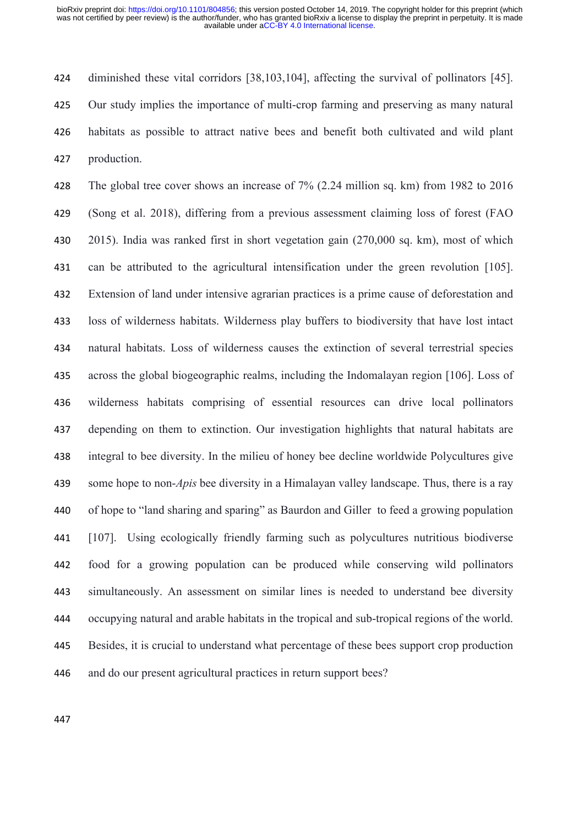diminished these vital corridors [38,103,104], affecting the survival of pollinators [45]. Our study implies the importance of multi-crop farming and preserving as many natural habitats as possible to attract native bees and benefit both cultivated and wild plant production.

 The global tree cover shows an increase of 7% (2.24 million sq. km) from 1982 to 2016 (Song et al. 2018), differing from a previous assessment claiming loss of forest (FAO 2015). India was ranked first in short vegetation gain (270,000 sq. km), most of which can be attributed to the agricultural intensification under the green revolution [105]. Extension of land under intensive agrarian practices is a prime cause of deforestation and loss of wilderness habitats. Wilderness play buffers to biodiversity that have lost intact natural habitats. Loss of wilderness causes the extinction of several terrestrial species across the global biogeographic realms, including the Indomalayan region [106]. Loss of wilderness habitats comprising of essential resources can drive local pollinators depending on them to extinction. Our investigation highlights that natural habitats are integral to bee diversity. In the milieu of honey bee decline worldwide Polycultures give some hope to non-*Apis* bee diversity in a Himalayan valley landscape. Thus, there is a ray of hope to "land sharing and sparing" as Baurdon and Giller to feed a growing population [107]. Using ecologically friendly farming such as polycultures nutritious biodiverse food for a growing population can be produced while conserving wild pollinators simultaneously. An assessment on similar lines is needed to understand bee diversity occupying natural and arable habitats in the tropical and sub-tropical regions of the world. Besides, it is crucial to understand what percentage of these bees support crop production and do our present agricultural practices in return support bees?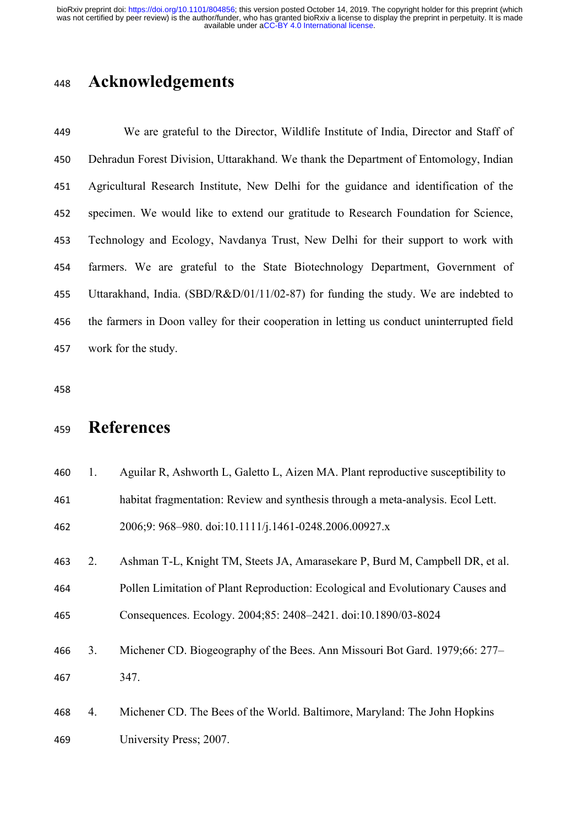## **Acknowledgements**

 We are grateful to the Director, Wildlife Institute of India, Director and Staff of Dehradun Forest Division, Uttarakhand. We thank the Department of Entomology, Indian Agricultural Research Institute, New Delhi for the guidance and identification of the specimen. We would like to extend our gratitude to Research Foundation for Science, Technology and Ecology, Navdanya Trust, New Delhi for their support to work with farmers. We are grateful to the State Biotechnology Department, Government of Uttarakhand, India. (SBD/R&D/01/11/02-87) for funding the study. We are indebted to the farmers in Doon valley for their cooperation in letting us conduct uninterrupted field work for the study.

# **References**

| 460 | Aguilar R, Ashworth L, Galetto L, Aizen MA. Plant reproductive susceptibility to |
|-----|----------------------------------------------------------------------------------|
| 461 | habitat fragmentation: Review and synthesis through a meta-analysis. Ecol Lett.  |
| 462 | 2006;9: 968-980. doi:10.1111/j.1461-0248.2006.00927.x                            |

2. Ashman T-L, Knight TM, Steets JA, Amarasekare P, Burd M, Campbell DR, et al.

 Pollen Limitation of Plant Reproduction: Ecological and Evolutionary Causes and Consequences. Ecology. 2004;85: 2408–2421. doi:10.1890/03-8024

- 3. Michener CD. Biogeography of the Bees. Ann Missouri Bot Gard. 1979;66: 277– 347.
- 4. Michener CD. The Bees of the World. Baltimore, Maryland: The John Hopkins University Press; 2007.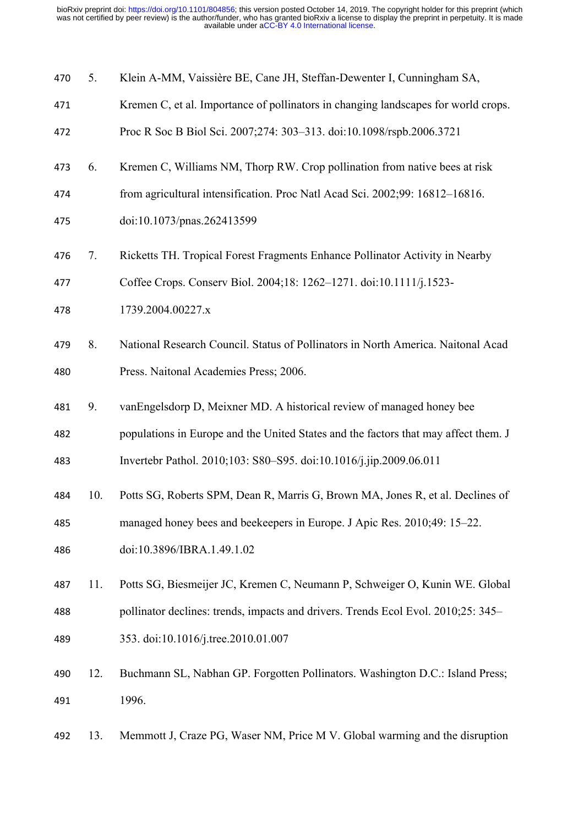| 470 |  |  |  | Klein A-MM, Vaissière BE, Cane JH, Steffan-Dewenter I, Cunningham SA, |  |  |
|-----|--|--|--|-----------------------------------------------------------------------|--|--|
|-----|--|--|--|-----------------------------------------------------------------------|--|--|

- Kremen C, et al. Importance of pollinators in changing landscapes for world crops.
- Proc R Soc B Biol Sci. 2007;274: 303–313. doi:10.1098/rspb.2006.3721
- 6. Kremen C, Williams NM, Thorp RW. Crop pollination from native bees at risk
- from agricultural intensification. Proc Natl Acad Sci. 2002;99: 16812–16816.
- doi:10.1073/pnas.262413599
- 7. Ricketts TH. Tropical Forest Fragments Enhance Pollinator Activity in Nearby
- Coffee Crops. Conserv Biol. 2004;18: 1262–1271. doi:10.1111/j.1523-
- 1739.2004.00227.x
- 8. National Research Council. Status of Pollinators in North America. Naitonal Acad Press. Naitonal Academies Press; 2006.
- 9. vanEngelsdorp D, Meixner MD. A historical review of managed honey bee
- populations in Europe and the United States and the factors that may affect them. J Invertebr Pathol. 2010;103: S80–S95. doi:10.1016/j.jip.2009.06.011
- 
- managed honey bees and beekeepers in Europe. J Apic Res. 2010;49: 15–22.

10. Potts SG, Roberts SPM, Dean R, Marris G, Brown MA, Jones R, et al. Declines of

- doi:10.3896/IBRA.1.49.1.02
- 11. Potts SG, Biesmeijer JC, Kremen C, Neumann P, Schweiger O, Kunin WE. Global pollinator declines: trends, impacts and drivers. Trends Ecol Evol. 2010;25: 345– 353. doi:10.1016/j.tree.2010.01.007
- 12. Buchmann SL, Nabhan GP. Forgotten Pollinators. Washington D.C.: Island Press; 1996.
- 13. Memmott J, Craze PG, Waser NM, Price M V. Global warming and the disruption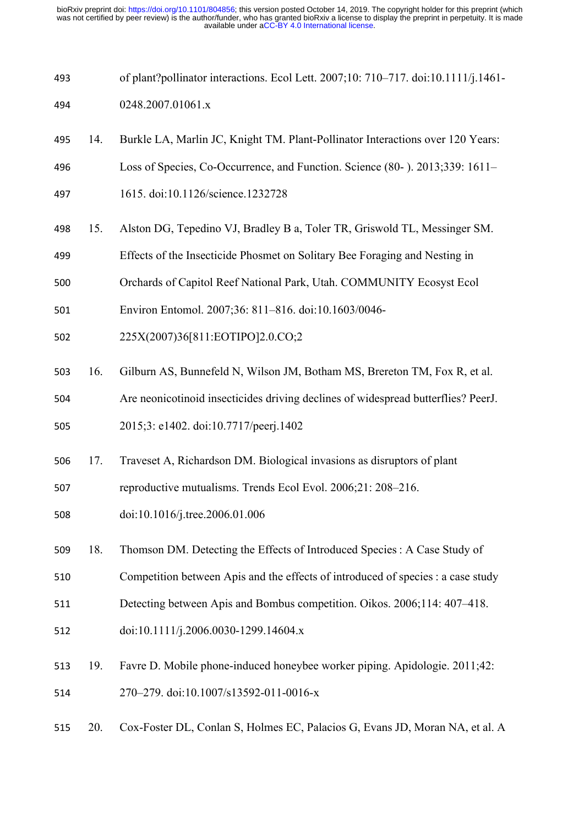| 493 |     | of plant?pollinator interactions. Ecol Lett. 2007;10: 710-717. doi:10.1111/j.1461- |
|-----|-----|------------------------------------------------------------------------------------|
| 494 |     | 0248.2007.01061.x                                                                  |
| 495 | 14. | Burkle LA, Marlin JC, Knight TM. Plant-Pollinator Interactions over 120 Years:     |
| 496 |     | Loss of Species, Co-Occurrence, and Function. Science (80-). 2013;339: 1611–       |
| 497 |     | 1615. doi:10.1126/science.1232728                                                  |
| 498 | 15. | Alston DG, Tepedino VJ, Bradley B a, Toler TR, Griswold TL, Messinger SM.          |
| 499 |     | Effects of the Insecticide Phosmet on Solitary Bee Foraging and Nesting in         |
| 500 |     | Orchards of Capitol Reef National Park, Utah. COMMUNITY Ecosyst Ecol               |
| 501 |     | Environ Entomol. 2007;36: 811-816. doi:10.1603/0046-                               |
| 502 |     | 225X(2007)36[811:EOTIPO]2.0.CO;2                                                   |
| 503 | 16. | Gilburn AS, Bunnefeld N, Wilson JM, Botham MS, Brereton TM, Fox R, et al.          |
| 504 |     | Are neonicotinoid insecticides driving declines of widespread butterflies? PeerJ.  |
| 505 |     | 2015;3: e1402. doi:10.7717/peerj.1402                                              |
| 506 | 17. | Traveset A, Richardson DM. Biological invasions as disruptors of plant             |
| 507 |     | reproductive mutualisms. Trends Ecol Evol. 2006;21: 208-216.                       |
| 508 |     | doi:10.1016/j.tree.2006.01.006                                                     |
| 509 | 18. | Thomson DM. Detecting the Effects of Introduced Species : A Case Study of          |
| 510 |     | Competition between Apis and the effects of introduced of species : a case study   |
| 511 |     | Detecting between Apis and Bombus competition. Oikos. 2006;114: 407-418.           |
| 512 |     | doi:10.1111/j.2006.0030-1299.14604.x                                               |
| 513 | 19. | Favre D. Mobile phone-induced honeybee worker piping. Apidologie. 2011;42:         |
| 514 |     | 270-279. doi:10.1007/s13592-011-0016-x                                             |
| 515 | 20. | Cox-Foster DL, Conlan S, Holmes EC, Palacios G, Evans JD, Moran NA, et al. A       |
|     |     |                                                                                    |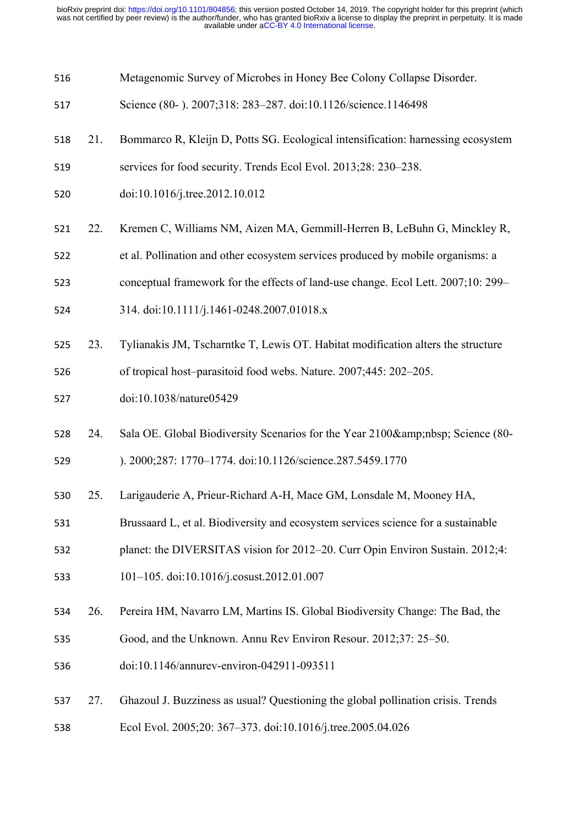| 516 |     | Metagenomic Survey of Microbes in Honey Bee Colony Collapse Disorder.             |
|-----|-----|-----------------------------------------------------------------------------------|
| 517 |     | Science (80-). 2007;318: 283-287. doi:10.1126/science.1146498                     |
| 518 | 21. | Bommarco R, Kleijn D, Potts SG. Ecological intensification: harnessing ecosystem  |
| 519 |     | services for food security. Trends Ecol Evol. 2013;28: 230–238.                   |
| 520 |     | doi:10.1016/j.tree.2012.10.012                                                    |
| 521 | 22. | Kremen C, Williams NM, Aizen MA, Gemmill-Herren B, LeBuhn G, Minckley R,          |
| 522 |     | et al. Pollination and other ecosystem services produced by mobile organisms: a   |
| 523 |     | conceptual framework for the effects of land-use change. Ecol Lett. 2007;10: 299– |
| 524 |     | 314. doi:10.1111/j.1461-0248.2007.01018.x                                         |
| 525 | 23. | Tylianakis JM, Tscharntke T, Lewis OT. Habitat modification alters the structure  |
| 526 |     | of tropical host-parasitoid food webs. Nature. 2007;445: 202-205.                 |
| 527 |     | doi:10.1038/nature05429                                                           |
| 528 | 24. | Sala OE. Global Biodiversity Scenarios for the Year 2100  Science (80-            |
| 529 |     | ). 2000;287: 1770-1774. doi:10.1126/science.287.5459.1770                         |
| 530 | 25. | Larigauderie A, Prieur-Richard A-H, Mace GM, Lonsdale M, Mooney HA,               |
| 531 |     |                                                                                   |
|     |     | Brussaard L, et al. Biodiversity and ecosystem services science for a sustainable |
| 532 |     | planet: the DIVERSITAS vision for 2012–20. Curr Opin Environ Sustain. 2012;4:     |
| 533 |     | 101-105. doi:10.1016/j.cosust.2012.01.007                                         |
| 534 | 26. | Pereira HM, Navarro LM, Martins IS. Global Biodiversity Change: The Bad, the      |
| 535 |     | Good, and the Unknown. Annu Rev Environ Resour. 2012;37: 25–50.                   |
| 536 |     | doi:10.1146/annurev-environ-042911-093511                                         |
| 537 | 27. | Ghazoul J. Buzziness as usual? Questioning the global pollination crisis. Trends  |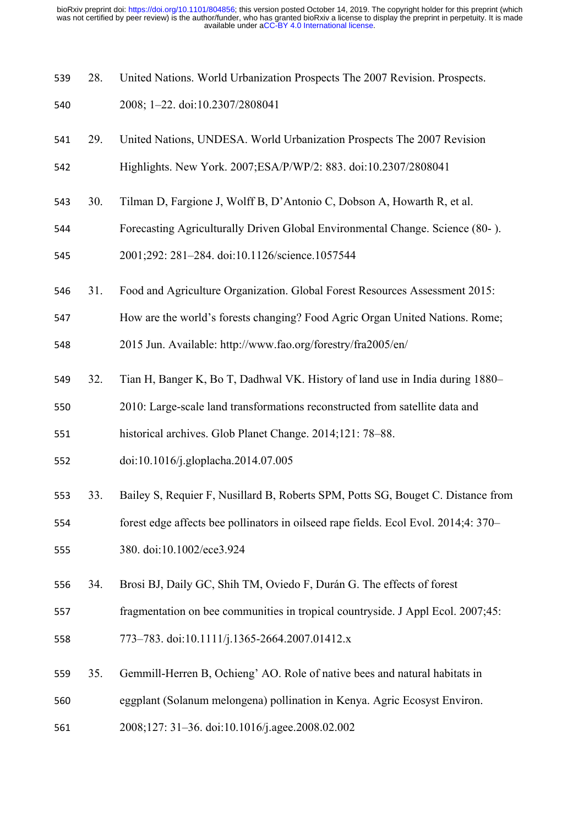- 28. United Nations. World Urbanization Prospects The 2007 Revision. Prospects.
- 2008; 1–22. doi:10.2307/2808041
- 29. United Nations, UNDESA. World Urbanization Prospects The 2007 Revision Highlights. New York. 2007;ESA/P/WP/2: 883. doi:10.2307/2808041
- 30. Tilman D, Fargione J, Wolff B, D'Antonio C, Dobson A, Howarth R, et al.
- Forecasting Agriculturally Driven Global Environmental Change. Science (80- ).
- 2001;292: 281–284. doi:10.1126/science.1057544
- 31. Food and Agriculture Organization. Global Forest Resources Assessment 2015:
- How are the world's forests changing? Food Agric Organ United Nations. Rome;

2015 Jun. Available: http://www.fao.org/forestry/fra2005/en/

- 32. Tian H, Banger K, Bo T, Dadhwal VK. History of land use in India during 1880–
- 2010: Large-scale land transformations reconstructed from satellite data and

historical archives. Glob Planet Change. 2014;121: 78–88.

- doi:10.1016/j.gloplacha.2014.07.005
- 33. Bailey S, Requier F, Nusillard B, Roberts SPM, Potts SG, Bouget C. Distance from forest edge affects bee pollinators in oilseed rape fields. Ecol Evol. 2014;4: 370–
- 380. doi:10.1002/ece3.924
- 34. Brosi BJ, Daily GC, Shih TM, Oviedo F, Durán G. The effects of forest
- fragmentation on bee communities in tropical countryside. J Appl Ecol. 2007;45:
- 773–783. doi:10.1111/j.1365-2664.2007.01412.x
- 35. Gemmill-Herren B, Ochieng' AO. Role of native bees and natural habitats in
- eggplant (Solanum melongena) pollination in Kenya. Agric Ecosyst Environ.
- 2008;127: 31–36. doi:10.1016/j.agee.2008.02.002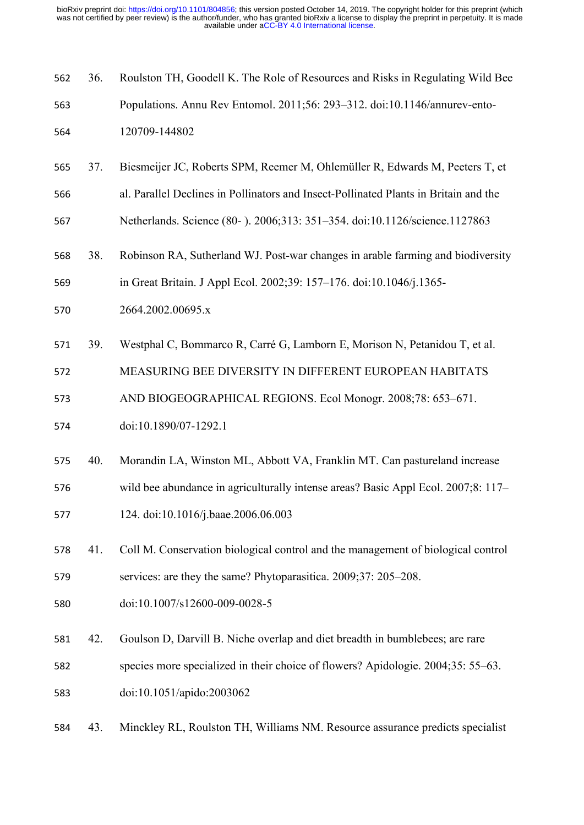| 562 | 36. | Roulston TH, Goodell K. The Role of Resources and Risks in Regulating Wild Bee       |
|-----|-----|--------------------------------------------------------------------------------------|
| 563 |     | Populations. Annu Rev Entomol. 2011;56: 293-312. doi:10.1146/annurev-ento-           |
| 564 |     | 120709-144802                                                                        |
| 565 | 37. | Biesmeijer JC, Roberts SPM, Reemer M, Ohlemüller R, Edwards M, Peeters T, et         |
| 566 |     | al. Parallel Declines in Pollinators and Insect-Pollinated Plants in Britain and the |
| 567 |     | Netherlands. Science (80-). 2006;313: 351-354. doi:10.1126/science.1127863           |
| 568 | 38. | Robinson RA, Sutherland WJ. Post-war changes in arable farming and biodiversity      |
| 569 |     | in Great Britain. J Appl Ecol. 2002;39: 157-176. doi:10.1046/j.1365-                 |
| 570 |     | 2664.2002.00695.x                                                                    |
| 571 | 39. | Westphal C, Bommarco R, Carré G, Lamborn E, Morison N, Petanidou T, et al.           |
| 572 |     | MEASURING BEE DIVERSITY IN DIFFERENT EUROPEAN HABITATS                               |
| 573 |     | AND BIOGEOGRAPHICAL REGIONS. Ecol Monogr. 2008;78: 653-671.                          |
| 574 |     | doi:10.1890/07-1292.1                                                                |
| 575 | 40. | Morandin LA, Winston ML, Abbott VA, Franklin MT. Can pastureland increase            |
| 576 |     | wild bee abundance in agriculturally intense areas? Basic Appl Ecol. 2007;8: 117-    |
| 577 |     | 124. doi:10.1016/j.baae.2006.06.003                                                  |
| 578 | 41. | Coll M. Conservation biological control and the management of biological control     |
| 579 |     | services: are they the same? Phytoparasitica. 2009;37: 205-208.                      |
| 580 |     | doi:10.1007/s12600-009-0028-5                                                        |
| 581 | 42. | Goulson D, Darvill B. Niche overlap and diet breadth in bumblebees; are rare         |
| 582 |     | species more specialized in their choice of flowers? Apidologie. 2004;35: 55–63.     |
| 583 |     | doi:10.1051/apido:2003062                                                            |
| 584 | 43. | Minckley RL, Roulston TH, Williams NM. Resource assurance predicts specialist        |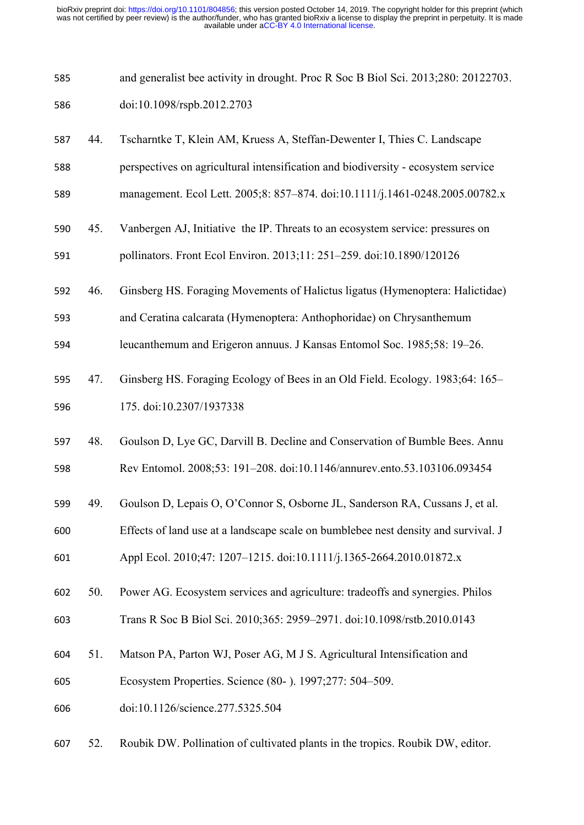| 585 | and generalist bee activity in drought. Proc R Soc B Biol Sci. 2013;280: 20122703. |
|-----|------------------------------------------------------------------------------------|
| 586 | doi:10.1098/rspb.2012.2703                                                         |

- 44. Tscharntke T, Klein AM, Kruess A, Steffan-Dewenter I, Thies C. Landscape
- perspectives on agricultural intensification and biodiversity ecosystem service
- management. Ecol Lett. 2005;8: 857–874. doi:10.1111/j.1461-0248.2005.00782.x
- 45. Vanbergen AJ, Initiative the IP. Threats to an ecosystem service: pressures on pollinators. Front Ecol Environ. 2013;11: 251–259. doi:10.1890/120126
- 46. Ginsberg HS. Foraging Movements of Halictus ligatus (Hymenoptera: Halictidae)
- and Ceratina calcarata (Hymenoptera: Anthophoridae) on Chrysanthemum
- leucanthemum and Erigeron annuus. J Kansas Entomol Soc. 1985;58: 19–26.
- 47. Ginsberg HS. Foraging Ecology of Bees in an Old Field. Ecology. 1983;64: 165– 175. doi:10.2307/1937338
- 48. Goulson D, Lye GC, Darvill B. Decline and Conservation of Bumble Bees. Annu
- Rev Entomol. 2008;53: 191–208. doi:10.1146/annurev.ento.53.103106.093454
- 49. Goulson D, Lepais O, O'Connor S, Osborne JL, Sanderson RA, Cussans J, et al.
- Effects of land use at a landscape scale on bumblebee nest density and survival. J Appl Ecol. 2010;47: 1207–1215. doi:10.1111/j.1365-2664.2010.01872.x
- 50. Power AG. Ecosystem services and agriculture: tradeoffs and synergies. Philos Trans R Soc B Biol Sci. 2010;365: 2959–2971. doi:10.1098/rstb.2010.0143
- 51. Matson PA, Parton WJ, Poser AG, M J S. Agricultural Intensification and
- Ecosystem Properties. Science (80- ). 1997;277: 504–509.
- doi:10.1126/science.277.5325.504
- 52. Roubik DW. Pollination of cultivated plants in the tropics. Roubik DW, editor.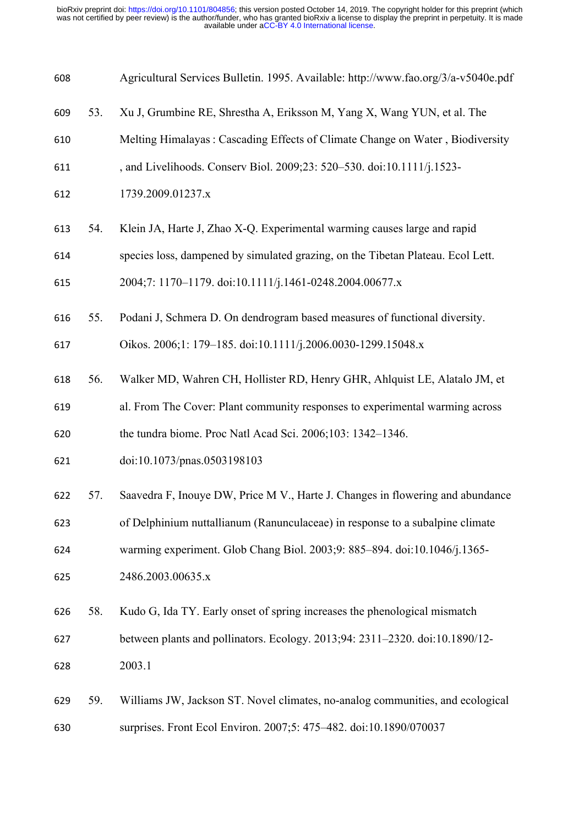| 608 |     | Agricultural Services Bulletin. 1995. Available: http://www.fao.org/3/a-v5040e.pdf |
|-----|-----|------------------------------------------------------------------------------------|
| 609 | 53. | Xu J, Grumbine RE, Shrestha A, Eriksson M, Yang X, Wang YUN, et al. The            |
| 610 |     | Melting Himalayas: Cascading Effects of Climate Change on Water, Biodiversity      |
| 611 |     | , and Livelihoods. Conserv Biol. 2009;23: 520-530. doi:10.1111/j.1523-             |
| 612 |     | 1739.2009.01237.x                                                                  |
| 613 | 54. | Klein JA, Harte J, Zhao X-Q. Experimental warming causes large and rapid           |
| 614 |     | species loss, dampened by simulated grazing, on the Tibetan Plateau. Ecol Lett.    |
| 615 |     | 2004;7: 1170-1179. doi:10.1111/j.1461-0248.2004.00677.x                            |
| 616 | 55. | Podani J, Schmera D. On dendrogram based measures of functional diversity.         |
| 617 |     | Oikos. 2006;1: 179-185. doi:10.1111/j.2006.0030-1299.15048.x                       |
| 618 | 56. | Walker MD, Wahren CH, Hollister RD, Henry GHR, Ahlquist LE, Alatalo JM, et         |
| 619 |     | al. From The Cover: Plant community responses to experimental warming across       |
| 620 |     | the tundra biome. Proc Natl Acad Sci. 2006;103: 1342-1346.                         |
| 621 |     | doi:10.1073/pnas.0503198103                                                        |
| 622 | 57. | Saavedra F, Inouye DW, Price M V., Harte J. Changes in flowering and abundance     |
| 623 |     | of Delphinium nuttallianum (Ranunculaceae) in response to a subalpine climate      |
| 624 |     | warming experiment. Glob Chang Biol. 2003;9: 885-894. doi:10.1046/j.1365-          |
| 625 |     | 2486.2003.00635.x                                                                  |
| 626 | 58. | Kudo G, Ida TY. Early onset of spring increases the phenological mismatch          |
| 627 |     | between plants and pollinators. Ecology. 2013;94: 2311-2320. doi:10.1890/12-       |
| 628 |     | 2003.1                                                                             |
| 629 | 59. | Williams JW, Jackson ST. Novel climates, no-analog communities, and ecological     |
| 630 |     | surprises. Front Ecol Environ. 2007;5: 475-482. doi:10.1890/070037                 |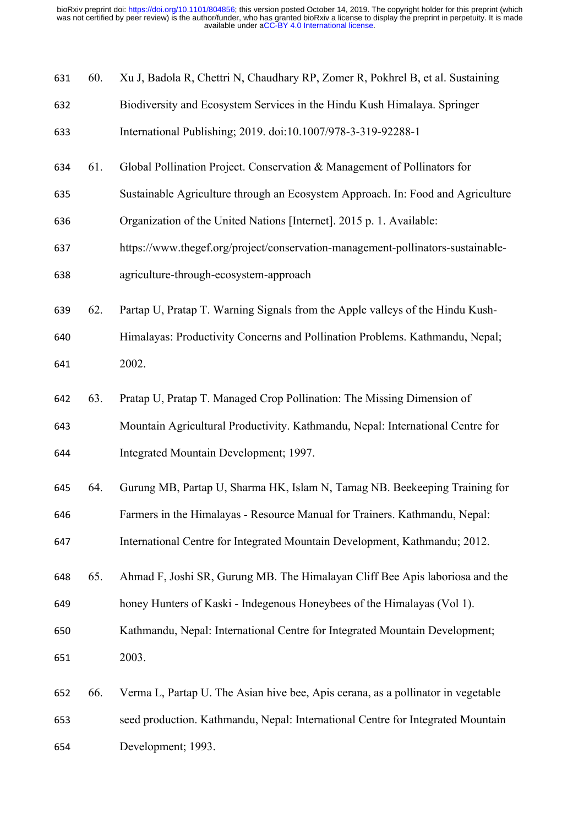| 631 | 60. | Xu J, Badola R, Chettri N, Chaudhary RP, Zomer R, Pokhrel B, et al. Sustaining   |
|-----|-----|----------------------------------------------------------------------------------|
| 632 |     | Biodiversity and Ecosystem Services in the Hindu Kush Himalaya. Springer         |
| 633 |     | International Publishing; 2019. doi:10.1007/978-3-319-92288-1                    |
| 634 | 61. | Global Pollination Project. Conservation & Management of Pollinators for         |
| 635 |     | Sustainable Agriculture through an Ecosystem Approach. In: Food and Agriculture  |
| 636 |     | Organization of the United Nations [Internet]. 2015 p. 1. Available:             |
| 637 |     | https://www.thegef.org/project/conservation-management-pollinators-sustainable-  |
| 638 |     | agriculture-through-ecosystem-approach                                           |
| 639 | 62. | Partap U, Pratap T. Warning Signals from the Apple valleys of the Hindu Kush-    |
| 640 |     | Himalayas: Productivity Concerns and Pollination Problems. Kathmandu, Nepal;     |
| 641 |     | 2002.                                                                            |
| 642 | 63. | Pratap U, Pratap T. Managed Crop Pollination: The Missing Dimension of           |
| 643 |     | Mountain Agricultural Productivity. Kathmandu, Nepal: International Centre for   |
| 644 |     | Integrated Mountain Development; 1997.                                           |
| 645 | 64. | Gurung MB, Partap U, Sharma HK, Islam N, Tamag NB. Beekeeping Training for       |
| 646 |     | Farmers in the Himalayas - Resource Manual for Trainers. Kathmandu, Nepal:       |
| 647 |     | International Centre for Integrated Mountain Development, Kathmandu; 2012.       |
| 648 | 65. | Ahmad F, Joshi SR, Gurung MB. The Himalayan Cliff Bee Apis laboriosa and the     |
| 649 |     | honey Hunters of Kaski - Indegenous Honeybees of the Himalayas (Vol 1).          |
| 650 |     | Kathmandu, Nepal: International Centre for Integrated Mountain Development;      |
| 651 |     | 2003.                                                                            |
| 652 | 66. | Verma L, Partap U. The Asian hive bee, Apis cerana, as a pollinator in vegetable |
| 653 |     | seed production. Kathmandu, Nepal: International Centre for Integrated Mountain  |
| 654 |     | Development; 1993.                                                               |
|     |     |                                                                                  |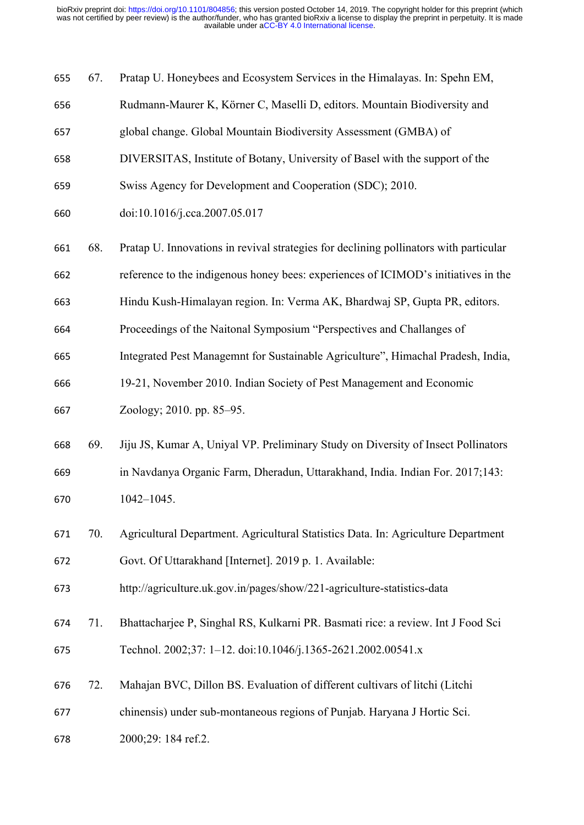| 655 | 67. | Pratap U. Honeybees and Ecosystem Services in the Himalayas. In: Spehn EM,            |
|-----|-----|---------------------------------------------------------------------------------------|
| 656 |     | Rudmann-Maurer K, Körner C, Maselli D, editors. Mountain Biodiversity and             |
| 657 |     | global change. Global Mountain Biodiversity Assessment (GMBA) of                      |
| 658 |     | DIVERSITAS, Institute of Botany, University of Basel with the support of the          |
| 659 |     | Swiss Agency for Development and Cooperation (SDC); 2010.                             |
| 660 |     | doi:10.1016/j.cca.2007.05.017                                                         |
| 661 | 68. | Pratap U. Innovations in revival strategies for declining pollinators with particular |
| 662 |     | reference to the indigenous honey bees: experiences of ICIMOD's initiatives in the    |
| 663 |     | Hindu Kush-Himalayan region. In: Verma AK, Bhardwaj SP, Gupta PR, editors.            |
| 664 |     | Proceedings of the Naitonal Symposium "Perspectives and Challanges of                 |
| 665 |     | Integrated Pest Managemnt for Sustainable Agriculture", Himachal Pradesh, India,      |
| 666 |     | 19-21, November 2010. Indian Society of Pest Management and Economic                  |
| 667 |     | Zoology; 2010. pp. 85–95.                                                             |
| 668 | 69. | Jiju JS, Kumar A, Uniyal VP. Preliminary Study on Diversity of Insect Pollinators     |
| 669 |     | in Navdanya Organic Farm, Dheradun, Uttarakhand, India. Indian For. 2017;143:         |
| 670 |     | $1042 - 1045$ .                                                                       |
| 671 | 70. | Agricultural Department. Agricultural Statistics Data. In: Agriculture Department     |
| 672 |     | Govt. Of Uttarakhand [Internet]. 2019 p. 1. Available:                                |
| 673 |     | http://agriculture.uk.gov.in/pages/show/221-agriculture-statistics-data               |
| 674 | 71. | Bhattacharjee P, Singhal RS, Kulkarni PR. Basmati rice: a review. Int J Food Sci      |
| 675 |     | Technol. 2002;37: 1-12. doi:10.1046/j.1365-2621.2002.00541.x                          |
| 676 | 72. | Mahajan BVC, Dillon BS. Evaluation of different cultivars of litchi (Litchi           |
| 677 |     | chinensis) under sub-montaneous regions of Punjab. Haryana J Hortic Sci.              |
| 678 |     | 2000;29: 184 ref.2.                                                                   |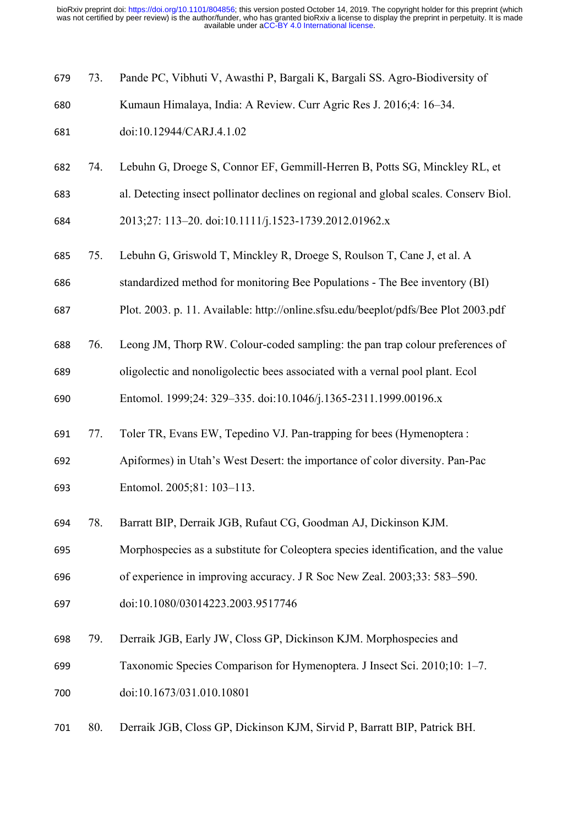- 73. Pande PC, Vibhuti V, Awasthi P, Bargali K, Bargali SS. Agro-Biodiversity of
- Kumaun Himalaya, India: A Review. Curr Agric Res J. 2016;4: 16–34.
- doi:10.12944/CARJ.4.1.02
- 74. Lebuhn G, Droege S, Connor EF, Gemmill-Herren B, Potts SG, Minckley RL, et
- al. Detecting insect pollinator declines on regional and global scales. Conserv Biol. 2013;27: 113–20. doi:10.1111/j.1523-1739.2012.01962.x
- 75. Lebuhn G, Griswold T, Minckley R, Droege S, Roulson T, Cane J, et al. A
- standardized method for monitoring Bee Populations The Bee inventory (BI)
- Plot. 2003. p. 11. Available: http://online.sfsu.edu/beeplot/pdfs/Bee Plot 2003.pdf
- 76. Leong JM, Thorp RW. Colour-coded sampling: the pan trap colour preferences of
- oligolectic and nonoligolectic bees associated with a vernal pool plant. Ecol
- Entomol. 1999;24: 329–335. doi:10.1046/j.1365-2311.1999.00196.x
- 77. Toler TR, Evans EW, Tepedino VJ. Pan-trapping for bees (Hymenoptera :
- Apiformes) in Utah's West Desert: the importance of color diversity. Pan-Pac Entomol. 2005;81: 103–113.
- 78. Barratt BIP, Derraik JGB, Rufaut CG, Goodman AJ, Dickinson KJM.
- Morphospecies as a substitute for Coleoptera species identification, and the value
- of experience in improving accuracy. J R Soc New Zeal. 2003;33: 583–590.
- doi:10.1080/03014223.2003.9517746
- 79. Derraik JGB, Early JW, Closs GP, Dickinson KJM. Morphospecies and Taxonomic Species Comparison for Hymenoptera. J Insect Sci. 2010;10: 1–7. doi:10.1673/031.010.10801
- 80. Derraik JGB, Closs GP, Dickinson KJM, Sirvid P, Barratt BIP, Patrick BH.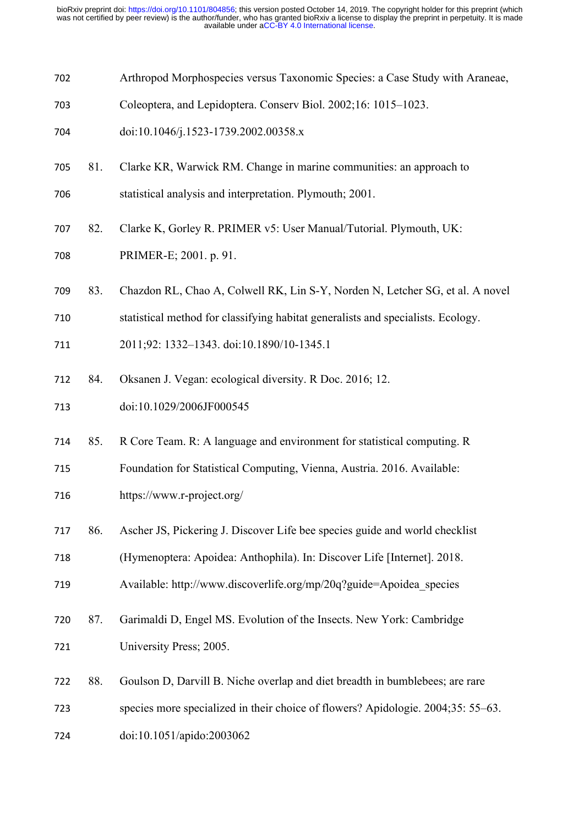- Arthropod Morphospecies versus Taxonomic Species: a Case Study with Araneae,
- Coleoptera, and Lepidoptera. Conserv Biol. 2002;16: 1015–1023.
- doi:10.1046/j.1523-1739.2002.00358.x
- 81. Clarke KR, Warwick RM. Change in marine communities: an approach to

statistical analysis and interpretation. Plymouth; 2001.

- 82. Clarke K, Gorley R. PRIMER v5: User Manual/Tutorial. Plymouth, UK:
- PRIMER-E; 2001. p. 91.
- 83. Chazdon RL, Chao A, Colwell RK, Lin S-Y, Norden N, Letcher SG, et al. A novel
- statistical method for classifying habitat generalists and specialists. Ecology.
- 2011;92: 1332–1343. doi:10.1890/10-1345.1
- 84. Oksanen J. Vegan: ecological diversity. R Doc. 2016; 12.
- doi:10.1029/2006JF000545
- 85. R Core Team. R: A language and environment for statistical computing. R
- Foundation for Statistical Computing, Vienna, Austria. 2016. Available:
- https://www.r-project.org/
- 86. Ascher JS, Pickering J. Discover Life bee species guide and world checklist
- (Hymenoptera: Apoidea: Anthophila). In: Discover Life [Internet]. 2018.
- Available: http://www.discoverlife.org/mp/20q?guide=Apoidea\_species
- 87. Garimaldi D, Engel MS. Evolution of the Insects. New York: Cambridge University Press; 2005.
- 88. Goulson D, Darvill B. Niche overlap and diet breadth in bumblebees; are rare
- species more specialized in their choice of flowers? Apidologie. 2004;35: 55–63.
- doi:10.1051/apido:2003062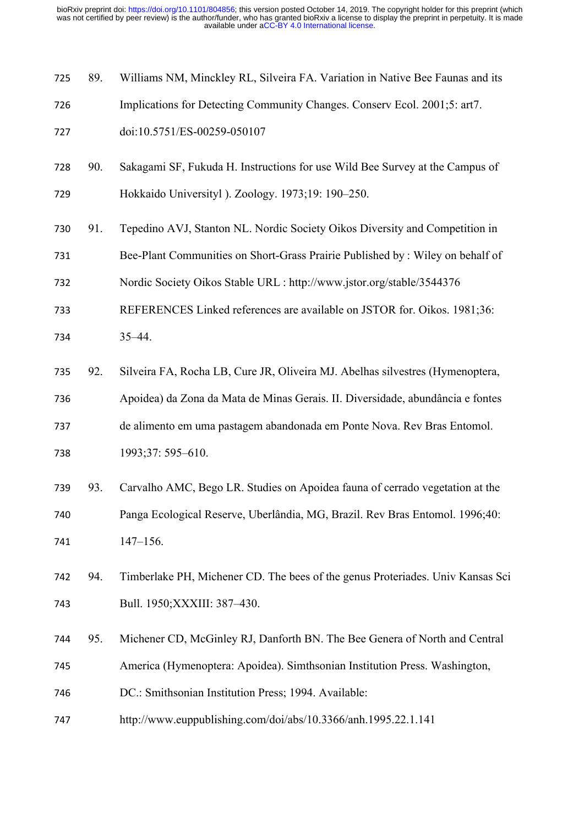| 725 | 89. | Williams NM, Minckley RL, Silveira FA. Variation in Native Bee Faunas and its  |
|-----|-----|--------------------------------------------------------------------------------|
| 726 |     | Implications for Detecting Community Changes. Conserv Ecol. 2001;5: art7.      |
| 727 |     | doi:10.5751/ES-00259-050107                                                    |
| 728 | 90. | Sakagami SF, Fukuda H. Instructions for use Wild Bee Survey at the Campus of   |
| 729 |     | Hokkaido Universityl). Zoology. 1973;19: 190–250.                              |
| 730 | 91. | Tepedino AVJ, Stanton NL. Nordic Society Oikos Diversity and Competition in    |
| 731 |     | Bee-Plant Communities on Short-Grass Prairie Published by : Wiley on behalf of |
| 732 |     | Nordic Society Oikos Stable URL : http://www.jstor.org/stable/3544376          |
| 733 |     | REFERENCES Linked references are available on JSTOR for. Oikos. 1981;36:       |
| 734 |     | $35 - 44$ .                                                                    |
| 735 | 92. | Silveira FA, Rocha LB, Cure JR, Oliveira MJ. Abelhas silvestres (Hymenoptera,  |
| 736 |     | Apoidea) da Zona da Mata de Minas Gerais. II. Diversidade, abundância e fontes |
| 737 |     | de alimento em uma pastagem abandonada em Ponte Nova. Rev Bras Entomol.        |
| 738 |     | 1993;37: 595-610.                                                              |
| 739 | 93. | Carvalho AMC, Bego LR. Studies on Apoidea fauna of cerrado vegetation at the   |
| 740 |     | Panga Ecological Reserve, Uberlândia, MG, Brazil. Rev Bras Entomol. 1996;40:   |
| 741 |     | $147 - 156.$                                                                   |
| 742 | 94. | Timberlake PH, Michener CD. The bees of the genus Proteriades. Univ Kansas Sci |
| 743 |     | Bull. 1950; XXXIII: 387-430.                                                   |
| 744 | 95. | Michener CD, McGinley RJ, Danforth BN. The Bee Genera of North and Central     |
| 745 |     | America (Hymenoptera: Apoidea). Simthsonian Institution Press. Washington,     |
| 746 |     | DC.: Smithsonian Institution Press; 1994. Available:                           |
| 747 |     | http://www.euppublishing.com/doi/abs/10.3366/anh.1995.22.1.141                 |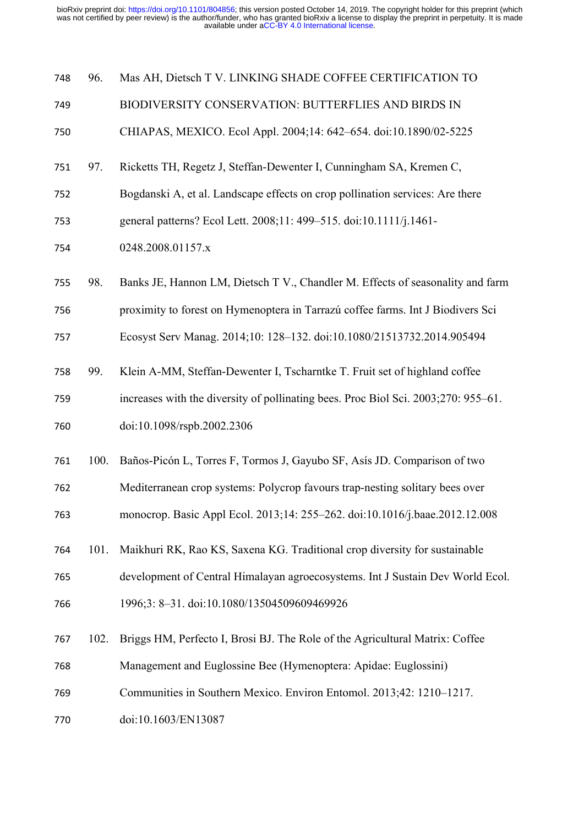| 748 | 96.  | Mas AH, Dietsch T V. LINKING SHADE COFFEE CERTIFICATION TO                         |
|-----|------|------------------------------------------------------------------------------------|
| 749 |      | BIODIVERSITY CONSERVATION: BUTTERFLIES AND BIRDS IN                                |
| 750 |      | CHIAPAS, MEXICO. Ecol Appl. 2004;14: 642–654. doi:10.1890/02-5225                  |
| 751 | 97.  | Ricketts TH, Regetz J, Steffan-Dewenter I, Cunningham SA, Kremen C,                |
| 752 |      | Bogdanski A, et al. Landscape effects on crop pollination services: Are there      |
| 753 |      | general patterns? Ecol Lett. 2008;11: 499-515. doi:10.1111/j.1461-                 |
| 754 |      | 0248.2008.01157.x                                                                  |
| 755 | 98.  | Banks JE, Hannon LM, Dietsch T V., Chandler M. Effects of seasonality and farm     |
| 756 |      | proximity to forest on Hymenoptera in Tarrazú coffee farms. Int J Biodivers Sci    |
| 757 |      | Ecosyst Serv Manag. 2014;10: 128-132. doi:10.1080/21513732.2014.905494             |
| 758 | 99.  | Klein A-MM, Steffan-Dewenter I, Tscharntke T. Fruit set of highland coffee         |
| 759 |      | increases with the diversity of pollinating bees. Proc Biol Sci. 2003;270: 955–61. |
| 760 |      | doi:10.1098/rspb.2002.2306                                                         |
| 761 | 100. | Baños-Picón L, Torres F, Tormos J, Gayubo SF, Asís JD. Comparison of two           |
| 762 |      | Mediterranean crop systems: Polycrop favours trap-nesting solitary bees over       |
| 763 |      | monocrop. Basic Appl Ecol. 2013;14: 255-262. doi:10.1016/j.baae.2012.12.008        |
| 764 | 101. | Maikhuri RK, Rao KS, Saxena KG. Traditional crop diversity for sustainable         |
| 765 |      | development of Central Himalayan agroecosystems. Int J Sustain Dev World Ecol.     |
| 766 |      | 1996;3: 8-31. doi:10.1080/13504509609469926                                        |
| 767 | 102. | Briggs HM, Perfecto I, Brosi BJ. The Role of the Agricultural Matrix: Coffee       |
| 768 |      | Management and Euglossine Bee (Hymenoptera: Apidae: Euglossini)                    |
| 769 |      | Communities in Southern Mexico. Environ Entomol. 2013;42: 1210-1217.               |
| 770 |      | doi:10.1603/EN13087                                                                |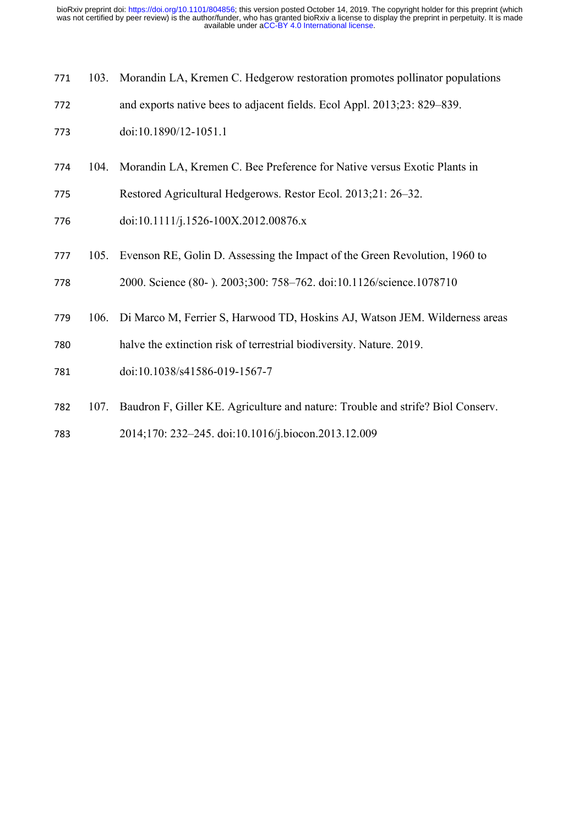| 771 |      | 103. Morandin LA, Kremen C. Hedgerow restoration promotes pollinator populations |
|-----|------|----------------------------------------------------------------------------------|
| 772 |      | and exports native bees to adjacent fields. Ecol Appl. 2013;23: 829–839.         |
| 773 |      | doi:10.1890/12-1051.1                                                            |
| 774 | 104. | Morandin LA, Kremen C. Bee Preference for Native versus Exotic Plants in         |
| 775 |      | Restored Agricultural Hedgerows. Restor Ecol. 2013;21: 26–32.                    |
| 776 |      | doi:10.1111/j.1526-100X.2012.00876.x                                             |
| 777 | 105. | Evenson RE, Golin D. Assessing the Impact of the Green Revolution, 1960 to       |
| 778 |      | 2000. Science (80-). 2003;300: 758-762. doi:10.1126/science.1078710              |
| 779 | 106. | Di Marco M, Ferrier S, Harwood TD, Hoskins AJ, Watson JEM. Wilderness areas      |
| 780 |      | halve the extinction risk of terrestrial biodiversity. Nature. 2019.             |
| 781 |      | doi:10.1038/s41586-019-1567-7                                                    |
| 782 | 107. | Baudron F, Giller KE. Agriculture and nature: Trouble and strife? Biol Conserv.  |
| 783 |      | 2014;170: 232-245. doi:10.1016/j.biocon.2013.12.009                              |
|     |      |                                                                                  |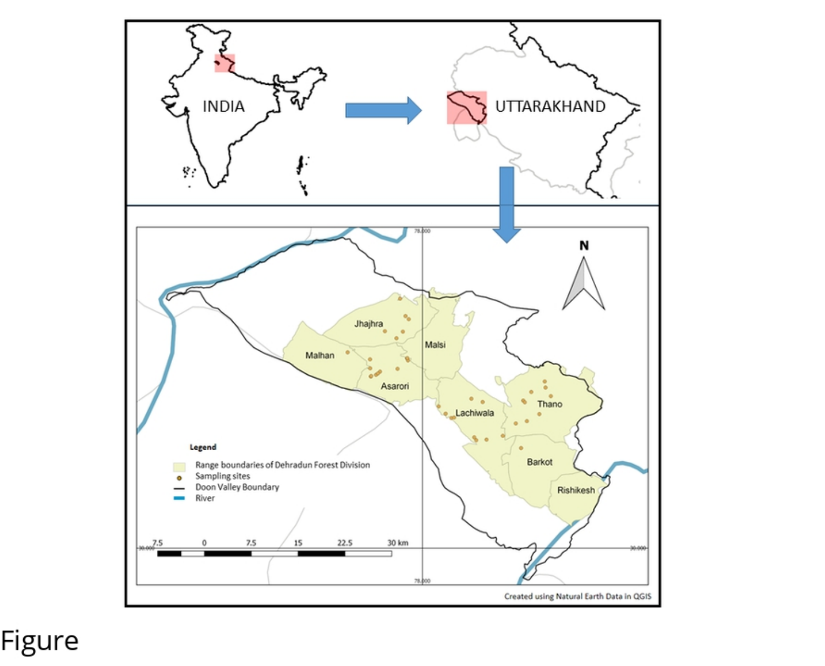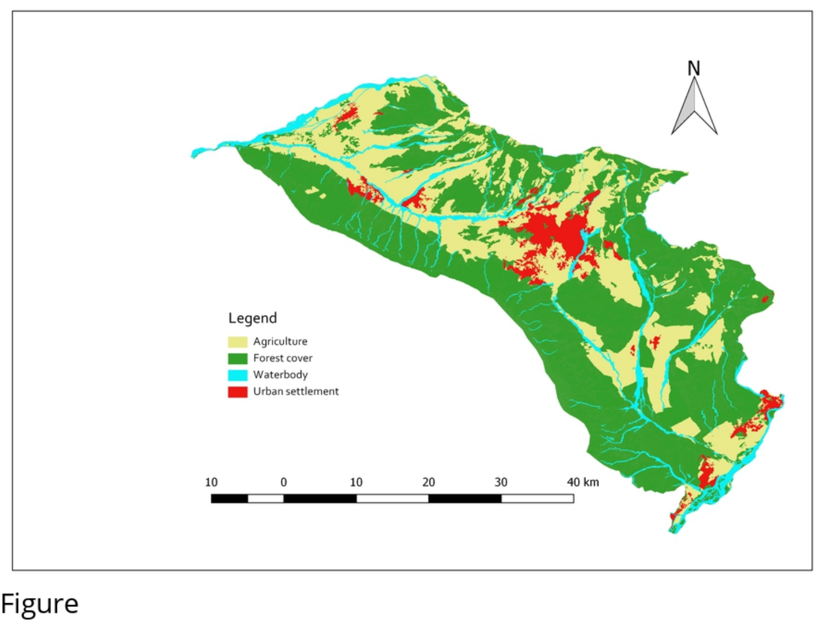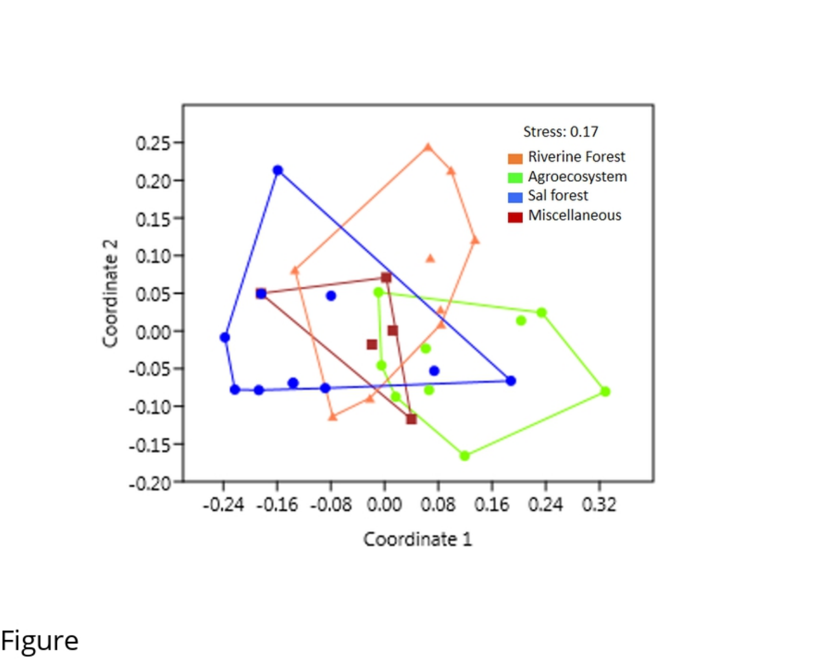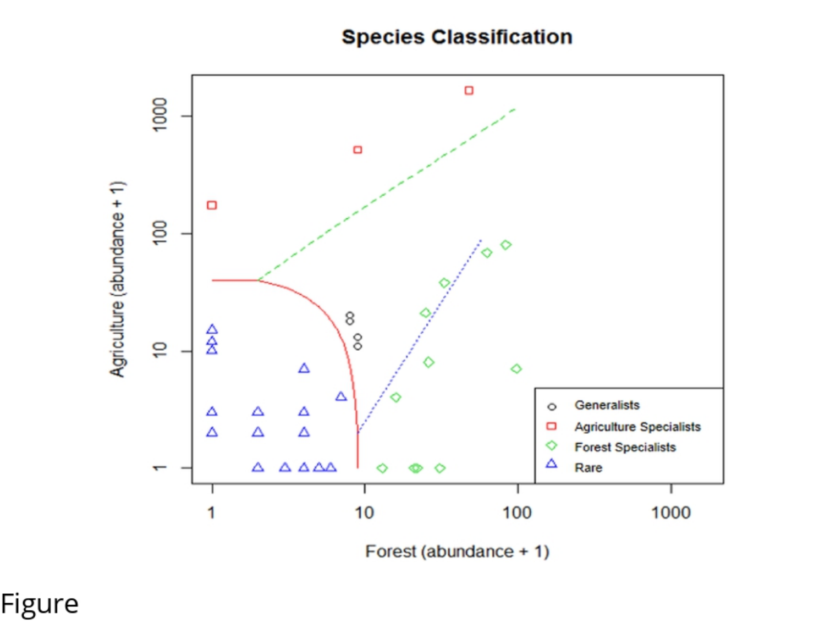# **Species Classification**